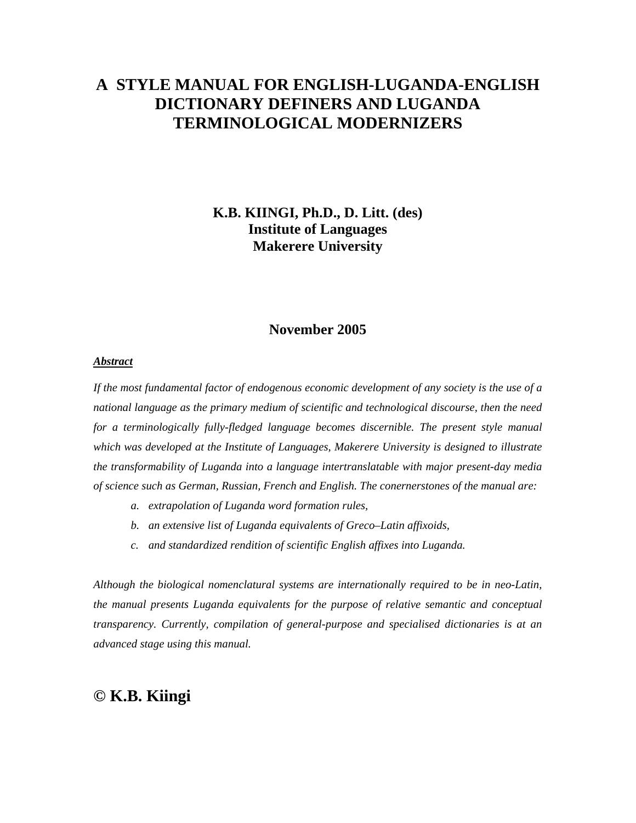# **A STYLE MANUAL FOR ENGLISH-LUGANDA-ENGLISH DICTIONARY DEFINERS AND LUGANDA TERMINOLOGICAL MODERNIZERS**

## **K.B. KIINGI, Ph.D., D. Litt. (des) Institute of Languages Makerere University**

### **November 2005**

#### *Abstract*

*If the most fundamental factor of endogenous economic development of any society is the use of a national language as the primary medium of scientific and technological discourse, then the need*  for a terminologically fully-fledged language becomes discernible. The present style manual *which was developed at the Institute of Languages, Makerere University is designed to illustrate the transformability of Luganda into a language intertranslatable with major present-day media of science such as German, Russian, French and English. The conernerstones of the manual are:* 

- *a. extrapolation of Luganda word formation rules,*
- *b. an extensive list of Luganda equivalents of Greco–Latin affixoids,*
- *c. and standardized rendition of scientific English affixes into Luganda.*

*Although the biological nomenclatural systems are internationally required to be in neo-Latin, the manual presents Luganda equivalents for the purpose of relative semantic and conceptual transparency. Currently, compilation of general-purpose and specialised dictionaries is at an advanced stage using this manual.* 

## **© K.B. Kiingi**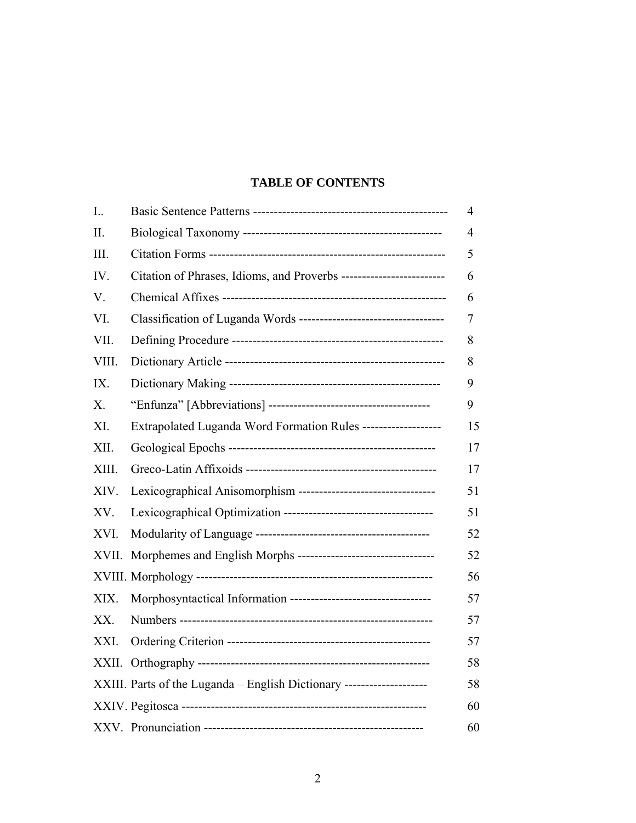## **TABLE OF CONTENTS**

| $I_{\cdot}$ . |                                                                       | 4  |
|---------------|-----------------------------------------------------------------------|----|
| II.           |                                                                       | 4  |
| III.          |                                                                       | 5  |
| IV.           | Citation of Phrases, Idioms, and Proverbs --------------------------  | 6  |
| V.            |                                                                       | 6  |
| VI.           |                                                                       | 7  |
| VII.          |                                                                       | 8  |
| VIII.         |                                                                       | 8  |
| IX.           |                                                                       | 9  |
| X.            |                                                                       | 9  |
| XI.           | Extrapolated Luganda Word Formation Rules -------------------         | 15 |
| XII.          |                                                                       | 17 |
| XIII.         |                                                                       | 17 |
| XIV.          | Lexicographical Anisomorphism ----------------------------------      | 51 |
| XV.           |                                                                       | 51 |
| XVI.          |                                                                       | 52 |
| XVII.         | Morphemes and English Morphs -----------------------------------      | 52 |
|               |                                                                       | 56 |
| XIX.          | Morphosyntactical Information -----------------------------------     | 57 |
| XX.           |                                                                       | 57 |
| XXI.          |                                                                       | 57 |
|               |                                                                       | 58 |
|               | XXIII. Parts of the Luganda - English Dictionary -------------------- | 58 |
|               |                                                                       | 60 |
|               |                                                                       | 60 |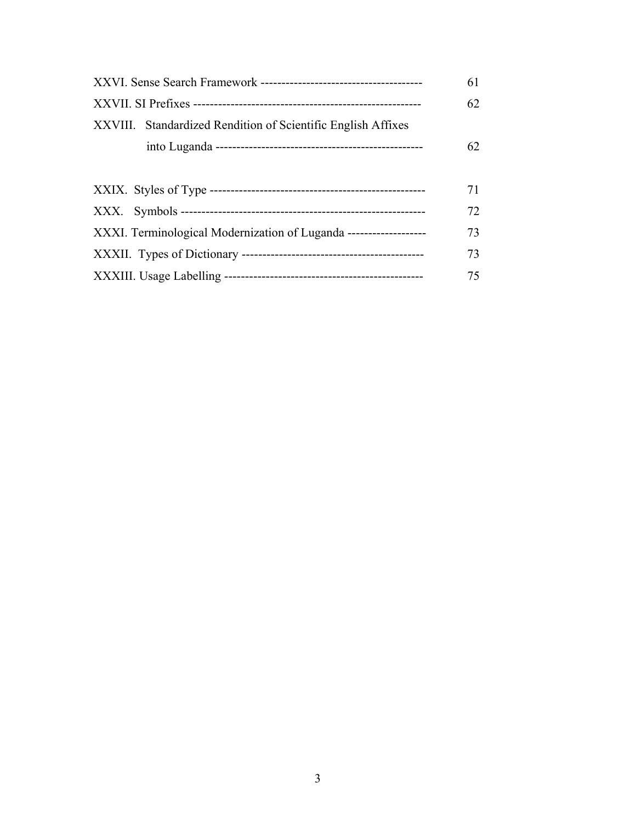|                                                                    | 61 |
|--------------------------------------------------------------------|----|
|                                                                    | 62 |
| XXVIII. Standardized Rendition of Scientific English Affixes       |    |
|                                                                    | 62 |
|                                                                    |    |
|                                                                    | 71 |
|                                                                    | 72 |
| XXXI. Terminological Modernization of Luganda -------------------- | 73 |
|                                                                    | 73 |
|                                                                    | 75 |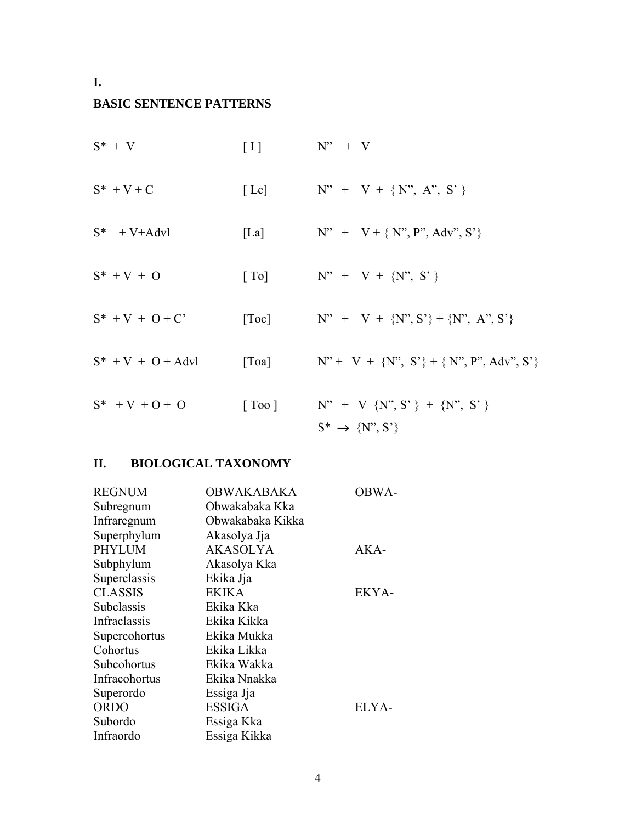## **I.**

## **BASIC SENTENCE PATTERNS**

| $S^* + V$            | $\lceil \, \rceil$         | $N'' + V$                                                                           |
|----------------------|----------------------------|-------------------------------------------------------------------------------------|
| $S^* + V + C$        | [Lc]                       | $N'' + V + \{N'', A'', S'\}$                                                        |
| $S^*$ + V+Advl       | [La]                       | $N'' + V + \{ N'', P'', Adv'', S' \}$                                               |
| $S^* + V + O$        | $\lceil$ To                | $N'' + V + \{N'', S'\}$                                                             |
| $S^* + V + O + C'$   | $\lceil \text{Toc} \rceil$ | $N'' + V + {N''}, S' + {N''}, A'', S'$                                              |
| $S^* + V + O + Advl$ | $\lceil \text{Toa} \rceil$ | $N'' + V + {N''}, S' + {N''}, P''$ , Adv", S'                                       |
| $S^*$ + V + O + O    | [Too]                      | N" + V {N", S' } + {N", S' }<br>$S^* \rightarrow \{N^{\prime\prime}, S^{\prime}\}\$ |

## **II. BIOLOGICAL TAXONOMY**

| <b>REGNUM</b>  | <b>OBWAKABAKA</b> | OBWA- |
|----------------|-------------------|-------|
| Subregnum      | Obwakabaka Kka    |       |
| Infraregnum    | Obwakabaka Kikka  |       |
| Superphylum    | Akasolya Jja      |       |
| <b>PHYLUM</b>  | <b>AKASOLYA</b>   | AKA-  |
| Subphylum      | Akasolya Kka      |       |
| Superclassis   | Ekika Jja         |       |
| <b>CLASSIS</b> | <b>EKIKA</b>      | EKYA- |
| Subclassis     | Ekika Kka         |       |
| Infraclassis   | Ekika Kikka       |       |
| Supercohortus  | Ekika Mukka       |       |
| Cohortus       | Ekika Likka       |       |
| Subcohortus    | Ekika Wakka       |       |
| Infracohortus  | Ekika Nnakka      |       |
| Superordo      | Essiga Jja        |       |
| <b>ORDO</b>    | <b>ESSIGA</b>     | ELYA- |
| Subordo        | Essiga Kka        |       |
| Infraordo      | Essiga Kikka      |       |
|                |                   |       |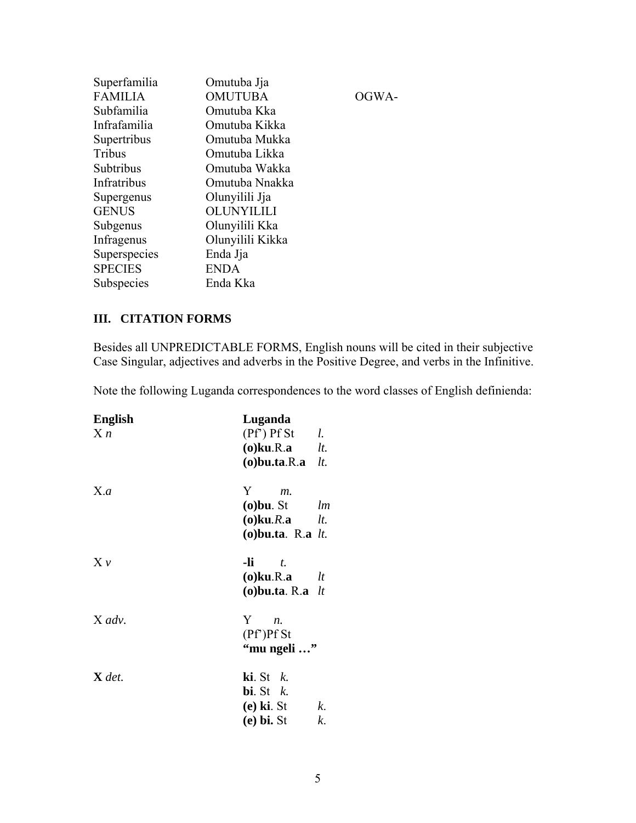| Superfamilia   | Omutuba Jja       |
|----------------|-------------------|
| <b>FAMILIA</b> | <b>OMUTUBA</b>    |
| Subfamilia     | Omutuba Kka       |
| Infrafamilia   | Omutuba Kikka     |
| Supertribus    | Omutuba Mukka     |
| Tribus         | Omutuba Likka     |
| Subtribus      | Omutuba Wakka     |
| Infratribus    | Omutuba Nnakka    |
| Supergenus     | Olunyilili Jja    |
| <b>GENUS</b>   | <b>OLUNYILILI</b> |
| Subgenus       | Olunyilili Kka    |
| Infragenus     | Olunyilili Kikka  |
| Superspecies   | Enda Jja          |
| <b>SPECIES</b> | <b>ENDA</b>       |
| Subspecies     | Enda Kka          |
|                |                   |

## **III. CITATION FORMS**

Besides all UNPREDICTABLE FORMS, English nouns will be cited in their subjective Case Singular, adjectives and adverbs in the Positive Degree, and verbs in the Infinitive.

OGWA-

Note the following Luganda correspondences to the word classes of English definienda:

| Luganda                          |
|----------------------------------|
| $(Pf')$ Pf St<br>l.              |
| $(o)$ ku.R.a $lt.$               |
| $(o)$ bu.ta.R.a<br>lt.           |
| Y<br>$m$ .                       |
| $(o)$ bu. St<br>lm               |
| $(o)$ ku. $R$ . a<br>lt.         |
| (o) bu.ta. R.a $lt$ .            |
| -li —<br>$\mathbf{t}$ .          |
| (o) $ku.R.a$ lt                  |
| (o) bu.ta. R.a $lt$              |
| Y<br>$n_{\cdot}$                 |
| $(PF)$ Pf St                     |
| "mu ngeli "                      |
| $\mathbf{ki}$ . St $k$ .         |
| <b>bi</b> . St $k$ .             |
| $(e)$ ki. St<br>$k_{\cdot}$      |
| ( <b>e</b> ) <b>bi.</b> St<br>k. |
|                                  |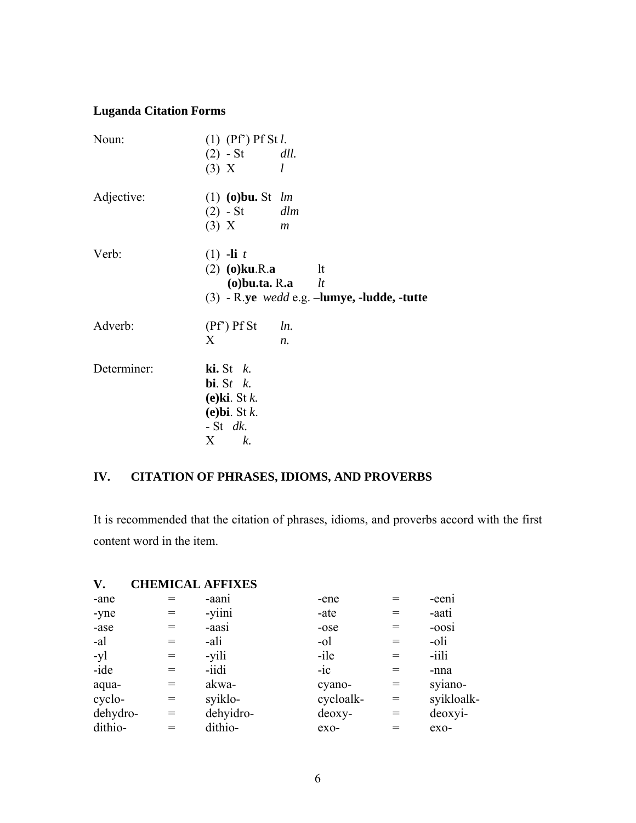# **Luganda Citation Forms**

| Noun:       | $(1)$ $(Pf^{\prime})$ Pf St l. |                                                                |
|-------------|--------------------------------|----------------------------------------------------------------|
|             | $(2)$ - St <i>dll</i> .        |                                                                |
|             | $(3)$ X                        | l                                                              |
| Adjective:  | $(1)$ (o) bu. St lm            |                                                                |
|             | $(2)$ - St <i>dlm</i>          |                                                                |
|             | $(3)$ X                        | $\mathfrak{m}$                                                 |
| Verb:       | $(1)$ -li t                    |                                                                |
|             | $(2)$ (o)ku.R.a                | lt<br>(o) bu.ta. R.a $lt$                                      |
|             |                                | $(3)$ - R.ye <i>wedd</i> e.g. $-l$ <b>umye, -ludde, -tutte</b> |
| Adverb:     | $(Pf')$ Pf St                  | ln.                                                            |
|             | X                              | $n_{\cdot}$                                                    |
| Determiner: | $\mathbf{ki}$ . St $k$ .       |                                                                |
|             | bi. St $k$ .                   |                                                                |
|             | $(e)$ ki. St k.                |                                                                |
|             | $(e)$ bi. St $k$ .             |                                                                |
|             | $-$ St dk.                     |                                                                |
|             | X<br>k.                        |                                                                |

# **IV. CITATION OF PHRASES, IDIOMS, AND PROVERBS**

It is recommended that the citation of phrases, idioms, and proverbs accord with the first content word in the item.

| V.       | <b>CHEMICAL AFFIXES</b> |           |           |     |            |
|----------|-------------------------|-----------|-----------|-----|------------|
| -ane     |                         | -aani     | -ene      |     | -eeni      |
| -yne     |                         | -yiini    | -ate      | $=$ | -aati      |
| -ase     |                         | -aasi     | -ose      | $=$ | -oosi      |
| -al      | $=$                     | -ali      | $-o1$     | $=$ | -oli       |
| -yl      | $=$                     | -yili     | -ile      | $=$ | -iili      |
| -ide     | $=$                     | -iidi     | $-ic$     | $=$ | -nna       |
| aqua-    | $=$                     | akwa-     | cyano-    | $=$ | syiano-    |
| cyclo-   | $=$                     | syiklo-   | cycloalk- | $=$ | syikloalk- |
| dehydro- | $=$                     | dehyidro- | deoxy-    | $=$ | deoxyi-    |
| dithio-  |                         | dithio-   | $exo-$    |     | $exo-$     |
|          |                         |           |           |     |            |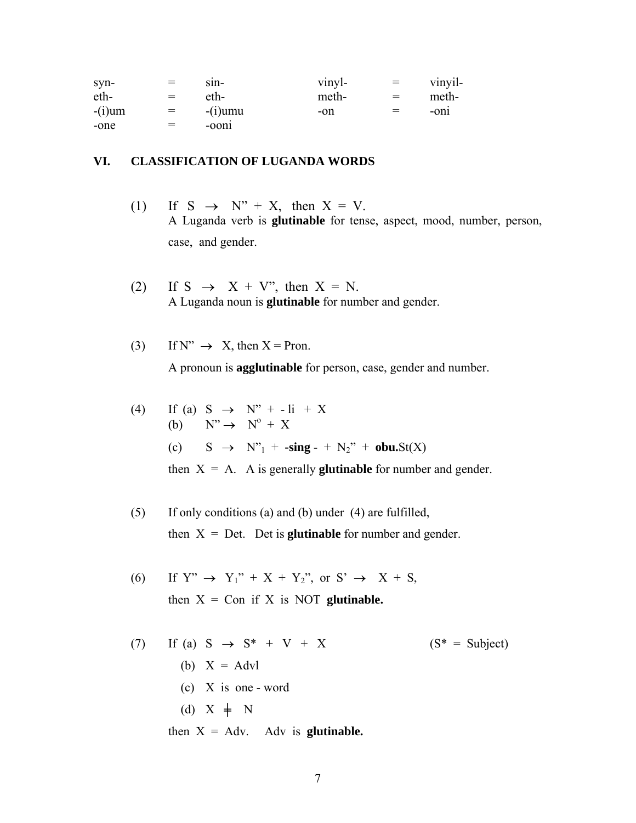| syn-      | $=$ | $S1n-$     | vinyl- | $\equiv$ | vinyil- |
|-----------|-----|------------|--------|----------|---------|
| eth-      | $=$ | eth-       | meth-  | $=$      | meth-   |
| $-(i)$ um | $=$ | $-(i)$ umu | $-on$  | $=$      | $-0n1$  |
| -one      | $=$ | $-00n1$    |        |          |         |

### **VI. CLASSIFICATION OF LUGANDA WORDS**

- (1) If S  $\rightarrow$  N" + X, then X = V. A Luganda verb is **glutinable** for tense, aspect, mood, number, person, case, and gender.
- (2) If S  $\rightarrow$  X + V", then X = N. A Luganda noun is **glutinable** for number and gender.
- (3) If  $N'' \rightarrow X$ , then  $X =$  Pron.

A pronoun is **agglutinable** for person, case, gender and number.

(4) If (a) 
$$
S \rightarrow N'' + -\text{li} + X
$$
  
\n(b)  $N'' \rightarrow N^0 + X$   
\n(c)  $S \rightarrow N''_1 + -\text{sing} - + N_2'' + \text{obu}St(X)$   
\nthen  $X = A$ . A is generally **glutinable** for number and gender.

- (5) If only conditions (a) and (b) under (4) are fulfilled, then  $X = Det$ . Det is **glutinable** for number and gender.
- (6) If  $Y'' \rightarrow Y_1'' + X + Y_2''$ , or  $S' \rightarrow X + S$ , then  $X = Con$  if  $X$  is NOT **glutinable.**

(7) If (a) S  $\rightarrow$  S<sup>\*</sup> + V + X (S<sup>\*</sup> = Subject) (b)  $X = Advl$  (c) X is one - word (d)  $X \neq N$ then  $X = Adv.$  Adv is **glutinable.**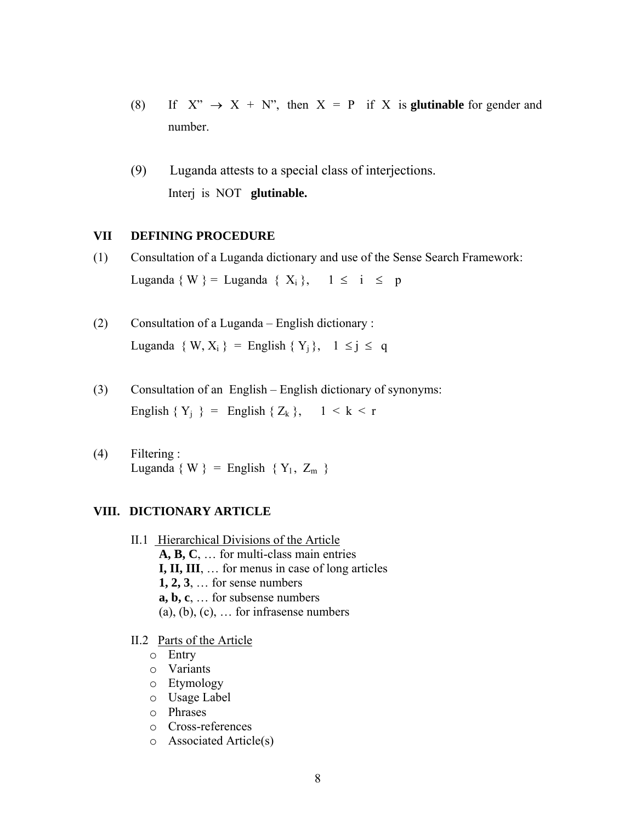- (8) If  $X'' \rightarrow X + N''$ , then  $X = P$  if X is **glutinable** for gender and number.
- (9) Luganda attests to a special class of interjections. Interj is NOT **glutinable.**

### **VII DEFINING PROCEDURE**

- (1) Consultation of a Luganda dictionary and use of the Sense Search Framework: Luganda { W } = Luganda {  $X_i$  },  $1 \le i \le p$
- (2) Consultation of a Luganda English dictionary : Luganda { W,  $X_i$  } = English {  $Y_i$  }, 1 ≤ j ≤ q
- (3) Consultation of an English English dictionary of synonyms: English  $\{Y_i\}$  = English  $\{Z_k\}, \quad 1 \leq k \leq r$
- (4) Filtering : Luganda { W } = English {  $Y_1$ ,  $Z_m$  }

## **VIII. DICTIONARY ARTICLE**

- II.1 Hierarchical Divisions of the Article **A, B, C**, … for multi-class main entries **I, II, III**, … for menus in case of long articles **1, 2, 3**, … for sense numbers  **a, b, c**, … for subsense numbers  $(a)$ ,  $(b)$ ,  $(c)$ , ... for infrasense numbers
- II.2 Parts of the Article
	- o Entry
	- o Variants
	- o Etymology
	- o Usage Label
	- o Phrases
	- o Cross-references
	- o Associated Article(s)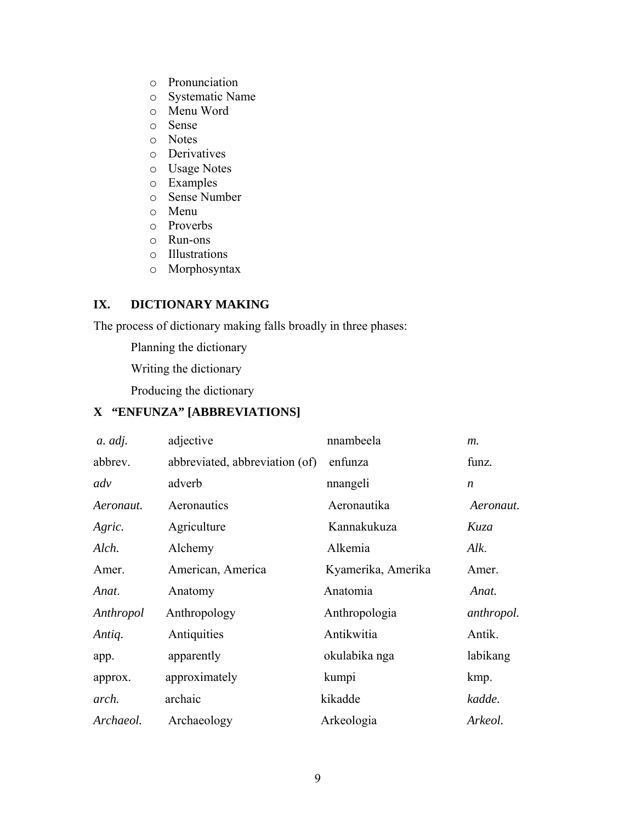- o Pronunciation
- o Systematic Name
- o Menu Word
- o Sense
- o Notes
- o Derivatives
- o Usage Notes
- o Examples
- o Sense Number
- o Menu
- o Proverbs
- o Run-ons
- o Illustrations
- o Morphosyntax

## **IX. DICTIONARY MAKING**

The process of dictionary making falls broadly in three phases:

Planning the dictionary

Writing the dictionary

Producing the dictionary

## **X "ENFUNZA" [ABBREVIATIONS]**

| a. adj.   | adjective                      | nnambeela          | $m$ .            |
|-----------|--------------------------------|--------------------|------------------|
| abbrev.   | abbreviated, abbreviation (of) | enfunza            | funz.            |
| adv       | adverb                         | nnangeli           | $\boldsymbol{n}$ |
| Aeronaut. | Aeronautics                    | Aeronautika        | Aeronaut.        |
| Agric.    | Agriculture                    | Kannakukuza        | Kuza             |
| Alch.     | Alchemy                        | Alkemia            | Alk.             |
| Amer.     | American, America              | Kyamerika, Amerika | Amer.            |
| Anat.     | Anatomy                        | Anatomia           | Anat.            |
| Anthropol | Anthropology                   | Anthropologia      | anthropol.       |
| Antiq.    | Antiquities                    | Antikwitia         | Antik.           |
| app.      | apparently                     | okulabika nga      | labikang         |
| approx.   | approximately                  | kumpi              | kmp.             |
| arch.     | archaic                        | kikadde            | kadde.           |
| Archaeol. | Archaeology                    | Arkeologia         | Arkeol.          |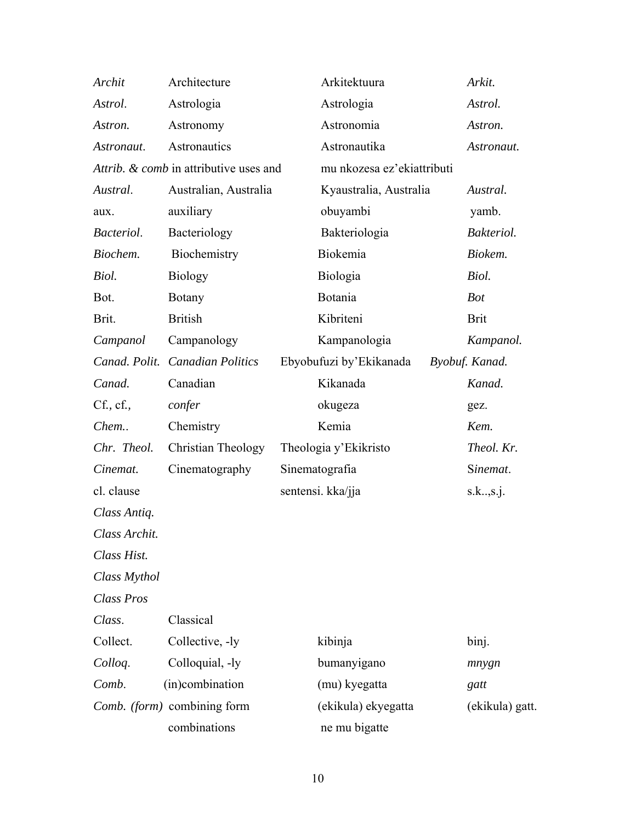| Archit        | Architecture                           | Arkitektuura               | Arkit.          |
|---------------|----------------------------------------|----------------------------|-----------------|
| Astrol.       | Astrologia                             | Astrologia                 | Astrol.         |
| Astron.       | Astronomy                              | Astronomia                 | Astron.         |
| Astronaut.    | Astronautics                           | Astronautika               | Astronaut.      |
|               | Attrib. & comb in attributive uses and | mu nkozesa ez'ekiattributi |                 |
| Austral.      | Australian, Australia                  | Kyaustralia, Australia     | Austral.        |
| aux.          | auxiliary                              | obuyambi                   | yamb.           |
| Bacteriol.    | Bacteriology                           | Bakteriologia              | Bakteriol.      |
| Biochem.      | Biochemistry                           | Biokemia                   | Biokem.         |
| Biol.         | <b>Biology</b>                         | Biologia                   | Biol.           |
| Bot.          | <b>Botany</b>                          | Botania                    | <b>Bot</b>      |
| Brit.         | <b>British</b>                         | Kibriteni                  | <b>Brit</b>     |
| Campanol      | Campanology                            | Kampanologia               | Kampanol.       |
| Canad. Polit. | <b>Canadian Politics</b>               | Ebyobufuzi by'Ekikanada    | Byobuf. Kanad.  |
| Canad.        | Canadian                               | Kikanada                   | Kanad.          |
| Cf., cf.,     | confer                                 | okugeza                    | gez.            |
| Chem          | Chemistry                              | Kemia                      | Kem.            |
| Chr. Theol.   | Christian Theology                     | Theologia y'Ekikristo      | Theol. Kr.      |
| Cinemat.      | Cinematography                         | Sinematografia             | Sinemat.        |
| cl. clause    |                                        | sentensi. kka/jja          | s.k., s.j.      |
| Class Antiq.  |                                        |                            |                 |
| Class Archit. |                                        |                            |                 |
| Class Hist.   |                                        |                            |                 |
| Class Mythol  |                                        |                            |                 |
| Class Pros    |                                        |                            |                 |
| Class.        | Classical                              |                            |                 |
| Collect.      | Collective, -ly                        | kibinja                    | binj.           |
| Colloq.       | Colloquial, -ly                        | bumanyigano                | mnygn           |
| Comb.         | (in)combination                        | (mu) kyegatta              | gatt            |
|               | Comb. (form) combining form            | (ekikula) ekyegatta        | (ekikula) gatt. |
|               | combinations                           | ne mu bigatte              |                 |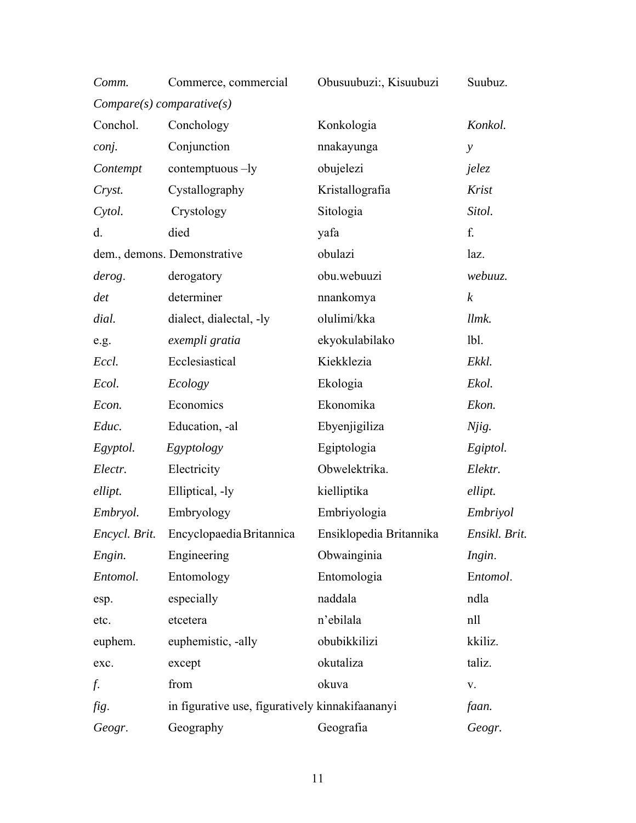| Comm.         | Commerce, commercial                            | Obusuubuzi:, Kisuubuzi  | Suubuz.          |
|---------------|-------------------------------------------------|-------------------------|------------------|
|               | $Compare(s) \: comparative(s)$                  |                         |                  |
| Conchol.      | Conchology                                      | Konkologia              | Konkol.          |
| conj.         | Conjunction                                     | nnakayunga              | $\mathcal{Y}$    |
| Contempt      | contemptuous $-ly$                              | obujelezi               | jelez            |
| Cryst.        | Cystallography                                  | Kristallografia         | Krist            |
| Cytol.        | Crystology                                      | Sitologia               | Sitol.           |
| d.            | died                                            | yafa                    | f.               |
|               | dem., demons. Demonstrative                     | obulazi                 | laz.             |
| derog.        | derogatory                                      | obu.webuuzi             | webuuz.          |
| det           | determiner                                      | nnankomya               | $\boldsymbol{k}$ |
| dial.         | dialect, dialectal, -ly                         | olulimi/kka             | llmk.            |
| e.g.          | exempli gratia                                  | ekyokulabilako          | 1 <sub>b1</sub>  |
| Eccl.         | Ecclesiastical                                  | Kiekklezia              | Ekkl.            |
| Ecol.         | Ecology                                         | Ekologia                | Ekol.            |
| Econ.         | Economics                                       | Ekonomika               | Ekon.            |
| Educ.         | Education, -al                                  | Ebyenjigiliza           | Njig.            |
| Egyptol.      | Egyptology                                      | Egiptologia             | Egiptol.         |
| Electr.       | Electricity                                     | Obwelektrika.           | Elektr.          |
| ellipt.       | Elliptical, -ly                                 | kielliptika             | ellipt.          |
| Embryol.      | Embryology                                      | Embriyologia            | Embriyol         |
| Encycl. Brit. | Encyclopaedia Britannica                        | Ensiklopedia Britannika | Ensikl. Brit.    |
| Engin.        | Engineering                                     | Obwainginia             | Ingin.           |
| Entomol.      | Entomology                                      | Entomologia             | Entomol.         |
| esp.          | especially                                      | naddala                 | ndla             |
| etc.          | etcetera                                        | n'ebilala               | nll              |
| euphem.       | euphemistic, -ally                              | obubikkilizi            | kkiliz.          |
| exc.          | except                                          | okutaliza               | taliz.           |
| f.            | from                                            | okuva                   | V.               |
| fig.          | in figurative use, figuratively kinnakifaananyi |                         | faan.            |
| Geogr.        | Geography                                       | Geografia               | Geogr.           |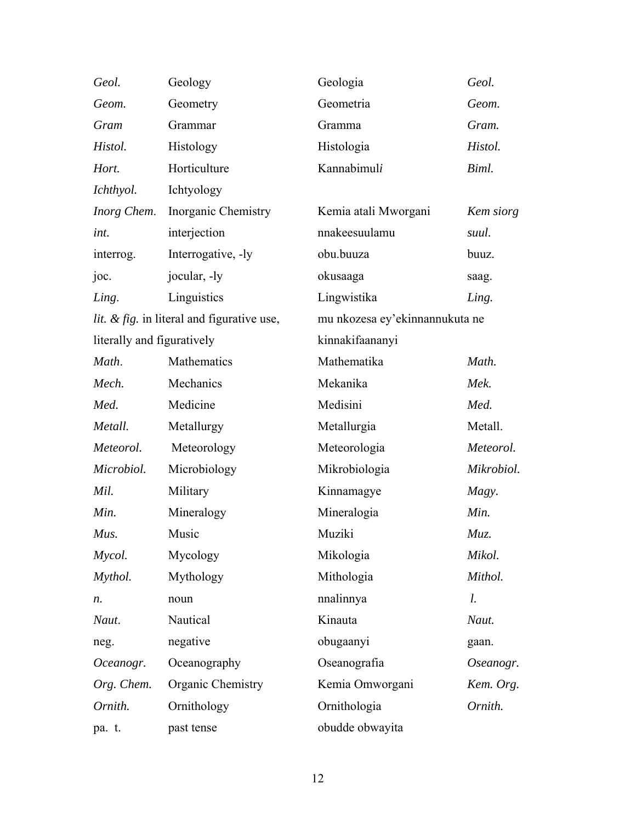| Geol.                      | Geology                                    | Geologia                       | Geol.      |
|----------------------------|--------------------------------------------|--------------------------------|------------|
| Geom.                      | Geometry                                   | Geometria                      | Geom.      |
| Gram                       | Grammar                                    | Gramma                         | Gram.      |
| Histol.                    | Histology                                  | Histologia                     | Histol.    |
| Hort.                      | Horticulture                               | Kannabimuli                    | Biml.      |
| Ichthyol.                  | Ichtyology                                 |                                |            |
| Inorg Chem.                | Inorganic Chemistry                        | Kemia atali Mworgani           | Kem siorg  |
| int.                       | interjection                               | nnakeesuulamu                  | suul.      |
| interrog.                  | Interrogative, -ly                         | obu.buuza                      | buuz.      |
| joc.                       | jocular, -ly                               | okusaaga                       | saag.      |
| Ling.                      | Linguistics                                | Lingwistika                    | Ling.      |
|                            | lit. & fig. in literal and figurative use, | mu nkozesa ey'ekinnannukuta ne |            |
| literally and figuratively |                                            | kinnakifaananyi                |            |
| Math.                      | Mathematics                                | Mathematika                    | Math.      |
| Mech.                      | Mechanics                                  | Mekanika                       | Mek.       |
| Med.                       | Medicine                                   | Medisini                       | Med.       |
| Metall.                    | Metallurgy                                 | Metallurgia                    | Metall.    |
| Meteorol.                  | Meteorology                                | Meteorologia                   | Meteorol.  |
| Microbiol.                 | Microbiology                               | Mikrobiologia                  | Mikrobiol. |
| Mil.                       | Military                                   | Kinnamagye                     | Magy.      |
| Min.                       | Mineralogy                                 | Mineralogia                    | Min.       |
| Mus.                       | Music                                      | Muziki                         | Muz.       |
| Mycol.                     | Mycology                                   | Mikologia                      | Mikol.     |
| Mythol.                    | Mythology                                  | Mithologia                     | Mithol.    |
| n.                         | noun                                       | nnalinnya                      | l.         |
| Naut.                      | Nautical                                   | Kinauta                        | Naut.      |
| neg.                       | negative                                   | obugaanyi                      | gaan.      |
| Oceanogr.                  | Oceanography                               | Oseanografia                   | Oseanogr.  |
| Org. Chem.                 | Organic Chemistry                          | Kemia Omworgani                | Kem. Org.  |
| Ornith.                    | Ornithology                                | Ornithologia                   | Ornith.    |
| pa. t.                     | past tense                                 | obudde obwayita                |            |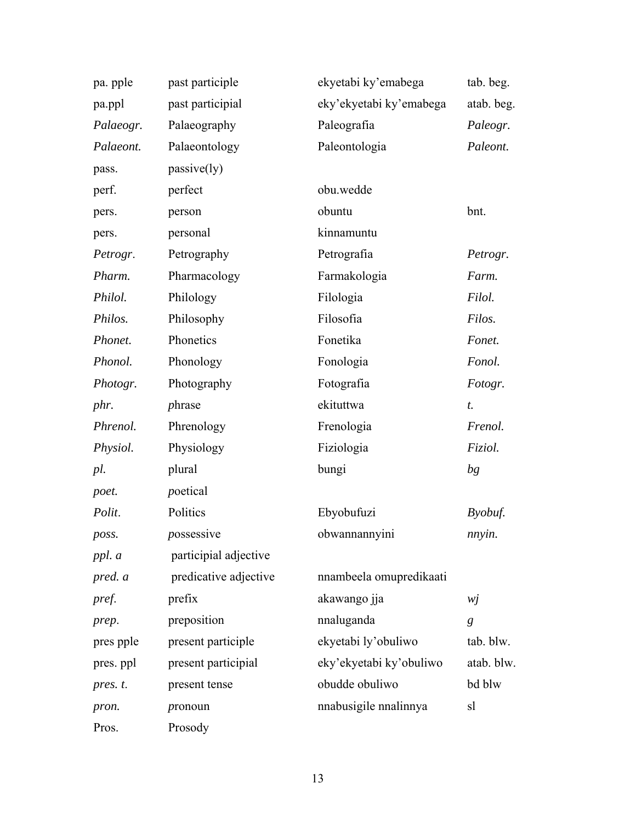| pa. pple  | past participle       | ekyetabi ky'emabega     | tab. beg.  |
|-----------|-----------------------|-------------------------|------------|
| pa.ppl    | past participial      | eky'ekyetabi ky'emabega | atab. beg. |
| Palaeogr. | Palaeography          | Paleografia             | Paleogr.   |
| Palaeont. | Palaeontology         | Paleontologia           | Paleont.   |
| pass.     | passive(ly)           |                         |            |
| perf.     | perfect               | obu.wedde               |            |
| pers.     | person                | obuntu                  | bnt.       |
| pers.     | personal              | kinnamuntu              |            |
| Petrogr.  | Petrography           | Petrografia             | Petrogr.   |
| Pharm.    | Pharmacology          | Farmakologia            | Farm.      |
| Philol.   | Philology             | Filologia               | Filol.     |
| Philos.   | Philosophy            | Filosofia               | Filos.     |
| Phonet.   | Phonetics             | Fonetika                | Fonet.     |
| Phonol.   | Phonology             | Fonologia               | Fonol.     |
| Photogr.  | Photography           | Fotografia              | Fotogr.    |
| phr.      | phrase                | ekituttwa               | t.         |
| Phrenol.  | Phrenology            | Frenologia              | Frenol.    |
| Physiol.  | Physiology            | Fiziologia              | Fiziol.    |
| pl.       | plural                | bungi                   | bg         |
| poet.     | poetical              |                         |            |
| Polit.    | Politics              | Ebyobufuzi              | Byobuf.    |
| poss.     | possessive            | obwannannyini           | nnyin.     |
| ppl. a    | participial adjective |                         |            |
| pred. a   | predicative adjective | nnambeela omupredikaati |            |
| pref.     | prefix                | akawango jja            | wj         |
| prep.     | preposition           | nnaluganda              | g          |
| pres pple | present participle    | ekyetabi ly'obuliwo     | tab. blw.  |
| pres. ppl | present participial   | eky'ekyetabi ky'obuliwo | atab. blw. |
| pres. t.  | present tense         | obudde obuliwo          | bd blw     |
| pron.     | pronoun               | nnabusigile nnalinnya   | sl         |
| Pros.     | Prosody               |                         |            |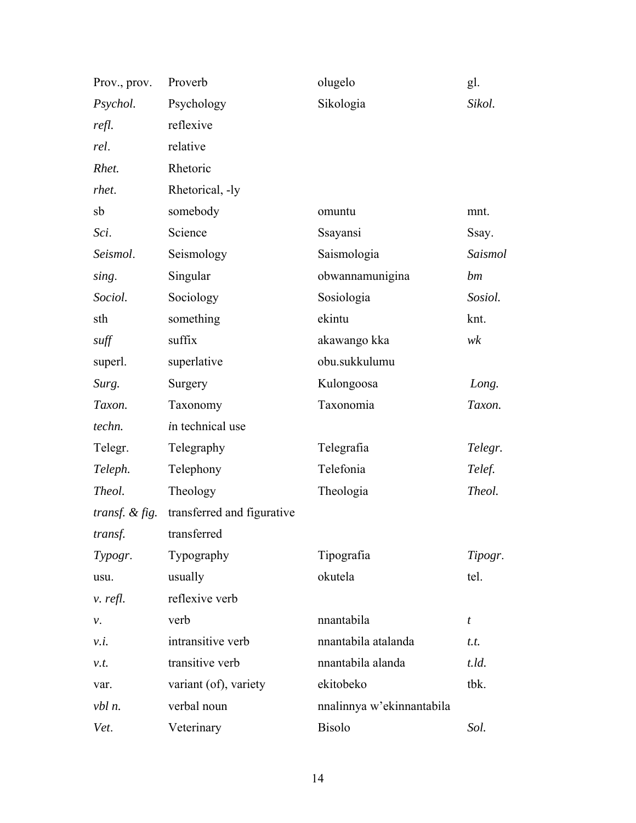| Prov., prov.            | Proverb                    | olugelo                   | gl.     |
|-------------------------|----------------------------|---------------------------|---------|
| Psychol.                | Psychology                 | Sikologia                 | Sikol.  |
| refl.                   | reflexive                  |                           |         |
| rel.                    | relative                   |                           |         |
| Rhet.                   | Rhetoric                   |                           |         |
| rhet.                   | Rhetorical, -ly            |                           |         |
| sb                      | somebody                   | omuntu                    | mnt.    |
| Sci.                    | Science                    | Ssayansi                  | Ssay.   |
| Seismol.                | Seismology                 | Saismologia               | Saismol |
| sing.                   | Singular                   | obwannamunigina           | bm      |
| Sociol.                 | Sociology                  | Sosiologia                | Sosiol. |
| sth                     | something                  | ekintu                    | knt.    |
| suff                    | suffix                     | akawango kka              | wk      |
| superl.                 | superlative                | obu.sukkulumu             |         |
| Surg.                   | Surgery                    | Kulongoosa                | Long.   |
| Taxon.                  | Taxonomy                   | Taxonomia                 | Taxon.  |
| techn.                  | in technical use           |                           |         |
| Telegr.                 | Telegraphy                 | Telegrafia                | Telegr. |
| Teleph.                 | Telephony                  | Telefonia                 | Telef.  |
| Theol.                  | Theology                   | Theologia                 | Theol.  |
| <i>transf.</i> & $fig.$ | transferred and figurative |                           |         |
| transf.                 | transferred                |                           |         |
| Typogr.                 | Typography                 | Tipografia                | Tipogr. |
| usu.                    | usually                    | okutela                   | tel.    |
| v. refl.                | reflexive verb             |                           |         |
| ν.                      | verb                       | nnantabila                | t       |
| v.i.                    | intransitive verb          | nnantabila atalanda       | t.t.    |
| v.t.                    | transitive verb            | nnantabila alanda         | t.ld.   |
| var.                    | variant (of), variety      | ekitobeko                 | tbk.    |
| $vbl$ <i>n</i> .        | verbal noun                | nnalinnya w'ekinnantabila |         |
| Vet.                    | Veterinary                 | <b>Bisolo</b>             | Sol.    |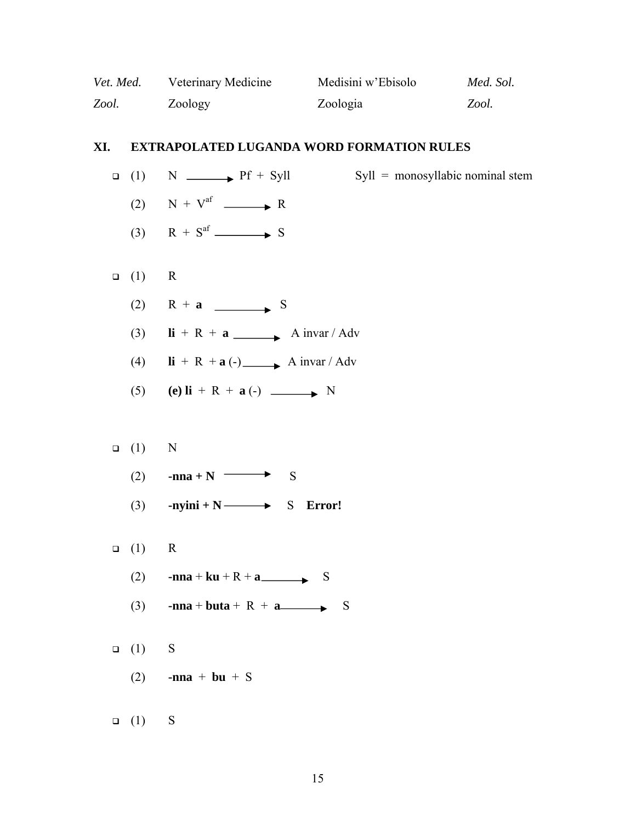| Vet. Med. | Veterinary Medicine | Medisini w'Ebisolo | Med. Sol. |
|-----------|---------------------|--------------------|-----------|
| Zool.     | Zoology             | Zoologia           | Zool.     |

# **XI. EXTRAPOLATED LUGANDA WORD FORMATION RULES**

|        | $\Box$ (1)    | $N \longrightarrow Pf + Syll$<br>$Syll = monosyllabic nominal stem$          |
|--------|---------------|------------------------------------------------------------------------------|
|        |               | (2) $N + V^{af}$ $\longrightarrow R$                                         |
|        |               | (3) $R + S^{af} \longrightarrow S$                                           |
|        |               |                                                                              |
| $\Box$ | (1)           | $\mathbf R$                                                                  |
|        | (2)           | $R + a$ S                                                                    |
|        | (3)           | $\mathbf{li} + \mathbf{R} + \mathbf{a}$ A invar / Adv                        |
|        | (4)           | $\mathbf{li} + \mathbf{R} + \mathbf{a}$ (-) $\longrightarrow$ A invar / Adv  |
|        | (5)           | (e) $\mathbf{li} + \mathbf{R} + \mathbf{a}$ (-) $\longrightarrow \mathbf{N}$ |
|        |               |                                                                              |
|        | (1)<br>$\Box$ | N                                                                            |
|        | (2)           | -nna + N<br>S                                                                |
|        | (3)           | $\text{-nyini} + N \longrightarrow S$ Error!                                 |
|        |               |                                                                              |
| $\Box$ | (1)           | $\mathbf R$                                                                  |
|        | (2)           | -nna + ku + R + a $\longrightarrow$ S                                        |
|        | (3)           | -nna + buta + R + a<br>$\mathbf S$                                           |
|        |               |                                                                              |
|        | $\Box$ (1)    | ${\bf S}$                                                                    |
|        | (2)           | -nna + bu + $S$                                                              |
|        |               |                                                                              |
|        | $\Box$ (1)    | S                                                                            |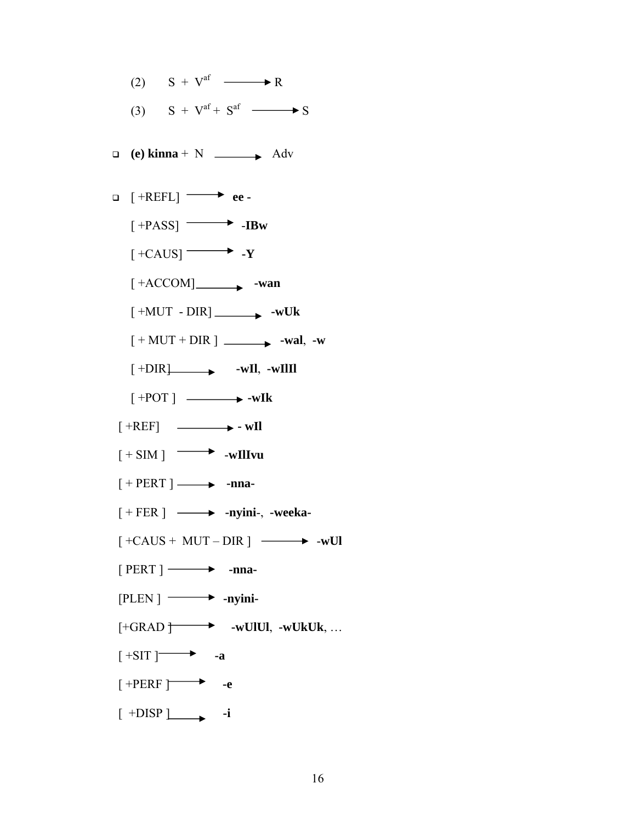- (2)  $S + V^{af} \longrightarrow R$ (3)  $S + V<sup>af</sup> + S<sup>af</sup>$   $\longrightarrow S$
- 
- $\Box$  (e) kinna + N  $\Box$  Adv
- [ +REFL] **ee -**  $[+PASS]$  -**IBw**  $[+CAUS]$   $\longrightarrow$   $\cdot$ **Y** 
	- $[+ACCOM]$  -wan
	- $[+MUT DIR]$   $-WUk$
	- $[+MUT + DIR]$   $\longrightarrow$  **-wal**,  $\cdot w$
	- $\left[ \begin{array}{ccc} +\text{DIR} & \text{wII} & \text{wIII} \end{array} \right]$
	- $[ +POT ] \longrightarrow$  -w**Ik**
- $[+REF]$   $\longrightarrow$   $\cdot$  wIl
- $[+ \text{SIM}] \longrightarrow \text{wIIIvu}$
- $[ + PERT ] \longrightarrow$  -nna-
- [ + FER ] **-nyini**-, **-weeka-**
- $\left[ +CAUS + MUT DIR \right] \longrightarrow -wUI$
- $[$  PERT  $]$   $\longrightarrow$  -nna-
- $[PLEN]$   $\longrightarrow$  -nyini-
- [+GRAD ] **-wUlUl**, **-wUkUk**, …
- $[+SIT]$  -a
- $[$  +PERF  $\rightharpoonup$  **-e**
- $[$  +DISP  $]$  **-i**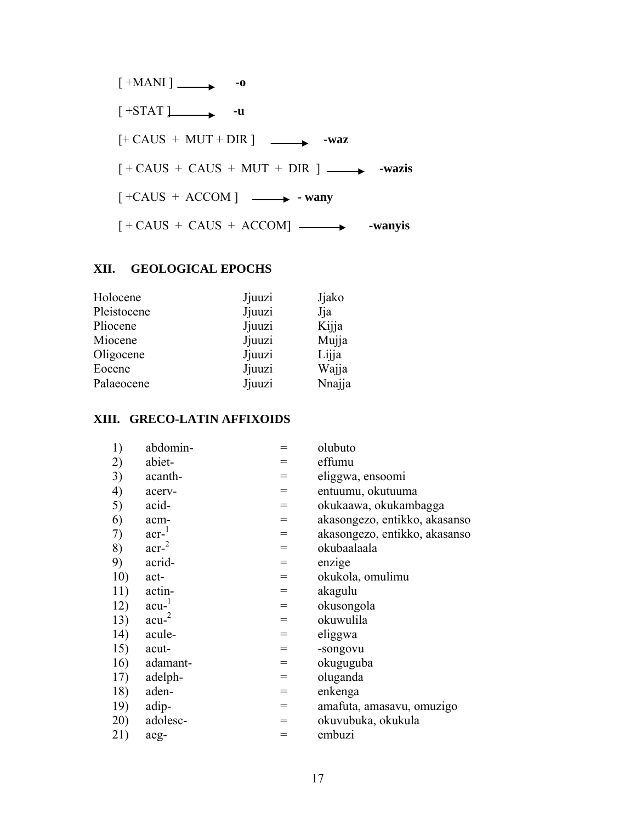

## **XII. GEOLOGICAL EPOCHS**

| Holocene    | Jjuuzi | Jjako  |
|-------------|--------|--------|
| Pleistocene | Jjuuzi | Jja    |
| Pliocene    | Jjuuzi | Kijja  |
| Miocene     | Jjuuzi | Mujja  |
| Oligocene   | Jjuuzi | Lijja  |
| Eocene      | Jjuuzi | Wajja  |
| Palaeocene  | Jjuuzi | Nnajja |
|             |        |        |

### **XIII. GRECO-LATIN AFFIXOIDS**

| 1)  | abdomin-         | $=$ | olubuto                       |
|-----|------------------|-----|-------------------------------|
| 2)  | abiet-           | $=$ | effumu                        |
| 3)  | acanth-          | $=$ | eliggwa, ensoomi              |
| 4)  | acerv-           | $=$ | entuumu, okutuuma             |
| 5)  | acid-            | $=$ | okukaawa, okukambagga         |
| 6)  | acm-             | $=$ | akasongezo, entikko, akasanso |
| 7)  | $acr-1$          | $=$ | akasongezo, entikko, akasanso |
| 8)  | acr <sup>2</sup> | $=$ | okubaalaala                   |
| 9)  | acrid-           | $=$ | enzige                        |
| 10) | act-             | $=$ | okukola, omulimu              |
| 11) | actin-           | $=$ | akagulu                       |
| 12) | $acu-1$          | $=$ | okusongola                    |
| 13) | acu <sup>2</sup> | $=$ | okuwulila                     |
| 14) | acule-           | $=$ | eliggwa                       |
| 15) | acut-            | $=$ | -songovu                      |
| 16) | adamant-         | $=$ | okuguguba                     |
| 17) | adelph-          | $=$ | oluganda                      |
| 18) | aden-            | $=$ | enkenga                       |
| 19) | adip-            | $=$ | amafuta, amasavu, omuzigo     |
| 20) | adolesc-         | $=$ | okuvubuka, okukula            |
| 21) | aeg-             | $=$ | embuzi                        |
|     |                  |     |                               |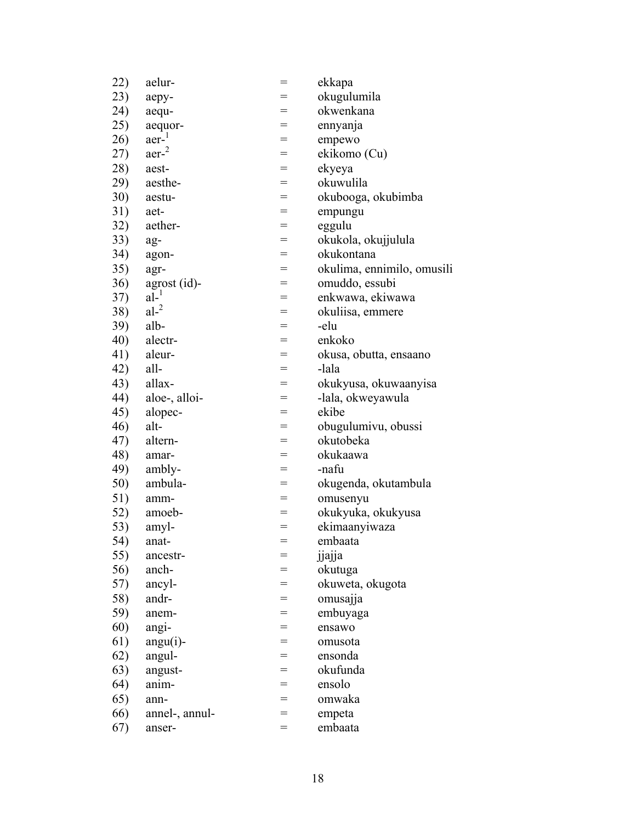| 22) | aelur-           | $=$ | ekkapa                     |
|-----|------------------|-----|----------------------------|
| 23) | aepy-            |     | okugulumila                |
| 24) | aequ-            | $=$ | okwenkana                  |
| 25) | aequor-          | $=$ | ennyanja                   |
| 26) | aer <sup>1</sup> | $=$ | empewo                     |
| 27) | aer <sup>2</sup> | $=$ | ekikomo (Cu)               |
| 28) | aest-            | $=$ | ekyeya                     |
| 29) | aesthe-          | $=$ | okuwulila                  |
| 30) | aestu-           | $=$ | okubooga, okubimba         |
| 31) | aet-             | $=$ | empungu                    |
| 32) | aether-          | $=$ | eggulu                     |
| 33) | ag-              | $=$ | okukola, okujjulula        |
| 34) | agon-            | $=$ | okukontana                 |
| 35) | agr-             | $=$ | okulima, ennimilo, omusili |
| 36) | agrost (id)-     | $=$ | omuddo, essubi             |
| 37) | $al-1$           | $=$ | enkwawa, ekiwawa           |
| 38) | al <sup>2</sup>  | $=$ | okuliisa, emmere           |
| 39) | alb-             | $=$ | -elu                       |
| 40) | alectr-          | $=$ | enkoko                     |
| 41) | aleur-           | $=$ | okusa, obutta, ensaano     |
| 42) | all-             | $=$ | -lala                      |
| 43) | allax-           | $=$ | okukyusa, okuwaanyisa      |
| 44) | aloe-, alloi-    | $=$ | -lala, okweyawula          |
| 45) | alopec-          | $=$ | ekibe                      |
| 46) | alt-             | $=$ | obugulumivu, obussi        |
| 47) | altern-          | $=$ | okutobeka                  |
| 48) | amar-            | $=$ | okukaawa                   |
| 49) | ambly-           | $=$ | -nafu                      |
| 50) | ambula-          | $=$ | okugenda, okutambula       |
| 51) | amm-             | $=$ | omusenyu                   |
| 52) | amoeb-           | $=$ | okukyuka, okukyusa         |
| 53) | amyl-            | $=$ | ekimaanyiwaza              |
| 54) | anat-            | $=$ | embaata                    |
| 55) | ancestr-         | =   | jjajja                     |
| 56) | anch-            | =   | okutuga                    |
| 57) | ancyl-           | $=$ | okuweta, okugota           |
| 58) | andr-            | =   | omusajja                   |
| 59) | anem-            |     | embuyaga                   |
| 60) | angi-            | =   | ensawo                     |
| 61) | $angu(i)$ -      | =   | omusota                    |
| 62) | angul-           | $=$ | ensonda                    |
| 63) | angust-          | =   | okufunda                   |
| 64) | anim-            | $=$ | ensolo                     |
| 65) | ann-             | $=$ | omwaka                     |
| 66) | annel-, annul-   | $=$ | empeta                     |
| 67) | anser-           | $=$ | embaata                    |
|     |                  |     |                            |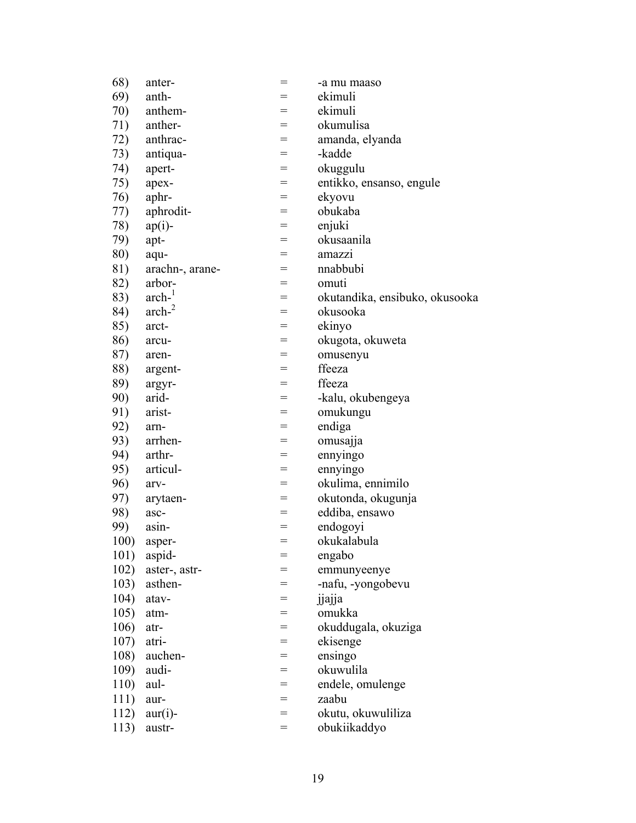| 68)  | anter-          | $=$               | -a mu maaso                    |
|------|-----------------|-------------------|--------------------------------|
| 69)  | anth-           |                   | ekimuli                        |
| 70)  | anthem-         | $=$               | ekimuli                        |
| 71)  | anther-         | $=$               | okumulisa                      |
| 72)  | anthrac-        | $=$               | amanda, elyanda                |
| 73)  | antiqua-        | $=$               | -kadde                         |
| 74)  | apert-          | $=$               | okuggulu                       |
| 75)  | apex-           | $=$               | entikko, ensanso, engule       |
| 76)  | aphr-           | $=$               | ekyovu                         |
| 77)  | aphrodit-       | $=$               | obukaba                        |
| 78)  | $ap(i)$ -       | $=$               | enjuki                         |
| 79)  | apt-            | $=$               | okusaanila                     |
| 80)  | aqu-            | $=$               | amazzı                         |
| 81)  | arachn-, arane- | $=$               | nnabbubi                       |
| 82)  | arbor-          | $=$               | omuti                          |
| 83)  | $arch-$         | $=$               | okutandika, ensibuko, okusooka |
| 84)  | $arch-2$        | $=$               | okusooka                       |
| 85)  | arct-           | $=$               | ekinyo                         |
| 86)  | arcu-           | $=$               | okugota, okuweta               |
| 87)  | aren-           | $=$               | omusenyu                       |
| 88)  | argent-         | $=$               | ffeeza                         |
| 89)  | argyr-          | $=$               | ffeeza                         |
| 90)  | arid-           | $=$               | -kalu, okubengeya              |
| 91)  | arist-          | $=$               | omukungu                       |
| 92)  | arn-            | $=$               | endiga                         |
| 93)  | arrhen-         | $=$               | omusajja                       |
| 94)  | arthr-          | $=$               | ennyingo                       |
| 95)  | articul-        | $=$               | ennyingo                       |
| 96)  | arv-            | $=$               | okulima, ennimilo              |
| 97)  | arytaen-        | $=$               | okutonda, okugunja             |
| 98)  | asc-            | $=$               | eddiba, ensawo                 |
| 99)  | asin-           | $=$               | endogoyi                       |
| 100) | asper-          | $\!\!\!=\!\!\!\!$ | okukalabula                    |
| 101) | aspid-          |                   | engabo                         |
| 102) | aster-, astr-   | $=$               | emmunyeenye                    |
| 103) | asthen-         | $=$               | -nafu, -yongobevu              |
| 104) | atav-           | $=$               | jjajja                         |
| 105) | atm-            | $=$               | omukka                         |
| 106) | atr-            | $=$               | okuddugala, okuziga            |
| 107) | atri-           | $=$               | ekisenge                       |
| 108) | auchen-         | $=$               | ensingo                        |
| 109) | audi-           | $=$               | okuwulila                      |
| 110) | aul-            | $=$               | endele, omulenge               |
| 111) | aur-            | $=$               | zaabu                          |
| 112) | $aur(i)$ -      | $=$               | okutu, okuwuliliza             |
| 113) | austr-          | $=$               | obukiikaddyo                   |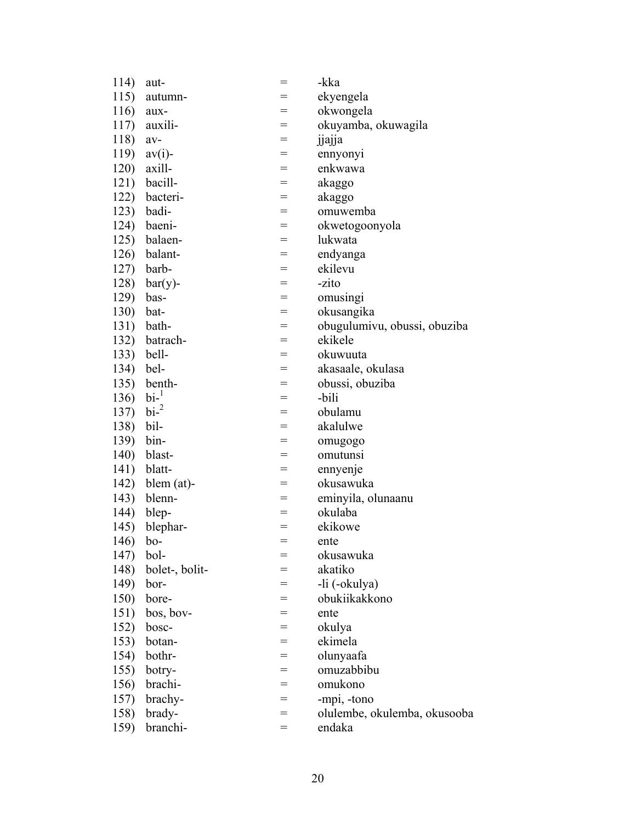| 114)     | aut-                       | $=$ | -kka                         |
|----------|----------------------------|-----|------------------------------|
| 115)     | autumn-                    |     | ekyengela                    |
| 116)     | aux-                       | =   | okwongela                    |
| 117)     | auxili-                    | $=$ | okuyamba, okuwagila          |
| 118)     | av-                        | =   | jjajja                       |
| 119)     | $av(i)$ -                  | $=$ | ennyonyi                     |
| 120)     | axill-                     | $=$ | enkwawa                      |
| 121)     | bacill-                    | $=$ | akaggo                       |
| 122)     | bacteri-                   | $=$ | akaggo                       |
|          | 123) badi-                 | $=$ | omuwemba                     |
| 124)     | baeni-                     | $=$ | okwetogoonyola               |
| 125)     | balaen-                    | $=$ | lukwata                      |
| 126)     | balant-                    | $=$ | endyanga                     |
| 127)     | barb-                      | $=$ | ekilevu                      |
| 128)     | $bar(y)$ -                 | =   | -zito                        |
| 129)     | bas-                       | $=$ | omusingi                     |
| 130)     | bat-                       | $=$ | okusangika                   |
| 131)     | bath-                      | $=$ | obugulumivu, obussi, obuziba |
| 132)     | batrach-                   | $=$ | ekikele                      |
| 133)     | bell-                      | $=$ | okuwuuta                     |
| 134)     | bel-                       | $=$ | akasaale, okulasa            |
| 135)     | benth-                     | $=$ | obussi, obuziba              |
| 136)     | $\mathrm{bi}$ <sup>1</sup> | $=$ | -bili                        |
| 137)     | $\text{bi}^{-2}$           | $=$ | obulamu                      |
| 138)     | bil-                       | $=$ | akalulwe                     |
| 139)     | bin-                       | $=$ | omugogo                      |
| 140)     | blast-                     | $=$ | omutunsi                     |
| 141)     | blatt-                     | $=$ | ennyenje                     |
| 142)     | $blem (at)$ -              | $=$ | okusawuka                    |
| 143)     | blenn-                     | $=$ | eminyila, olunaanu           |
| 144)     | blep-                      | $=$ | okulaba                      |
| 145)     | blephar-                   | $=$ | ekikowe                      |
| 146) bo- |                            | $=$ | ente                         |
| 147)     | bol-                       | $=$ | okusawuka                    |
| 148)     | bolet-, bolit-             | =   | akatiko                      |
| 149)     | bor-                       | $=$ | -li (-okulya)                |
| 150)     | bore-                      | =   | obukiikakkono                |
| 151)     | bos, bov-                  | $=$ | ente                         |
| 152)     | bosc-                      | $=$ | okulya                       |
| 153)     | botan-                     | $=$ | ekimela                      |
| 154)     | bothr-                     | $=$ | olunyaafa                    |
| 155)     | botry-                     | $=$ | omuzabbibu                   |
| 156)     | brachi-                    | $=$ | omukono                      |
| 157)     | brachy-                    | $=$ | -mpi, -tono                  |
| 158)     | brady-                     | $=$ | olulembe, okulemba, okusooba |
| 159)     | branchi-                   | $=$ | endaka                       |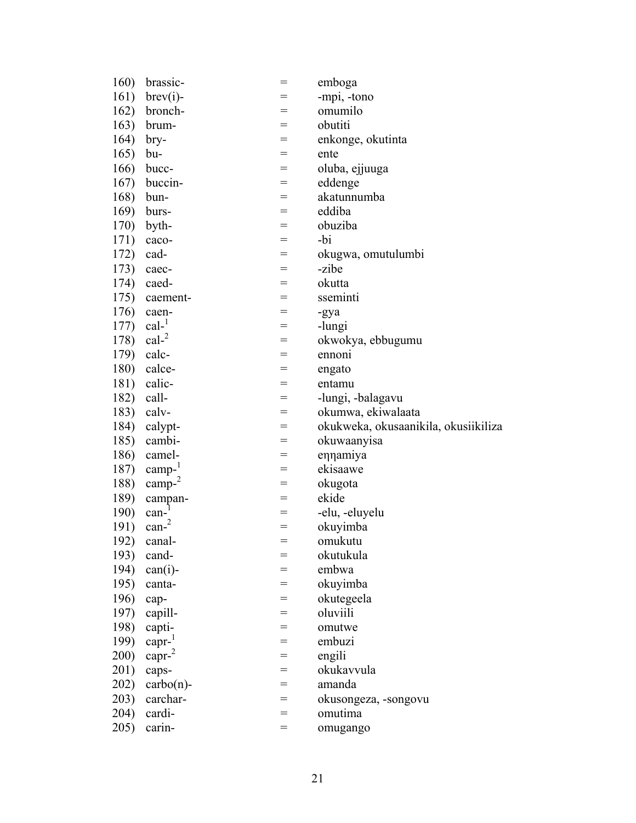| 160) | brassic-            | $=$ | emboga                               |
|------|---------------------|-----|--------------------------------------|
| 161) | $brev(i)$ -         |     | -mpi, -tono                          |
| 162) | bronch-             | $=$ | omumilo                              |
| 163) | brum-               | $=$ | obutiti                              |
| 164) | bry-                | $=$ | enkonge, okutinta                    |
| 165) | bu-                 | $=$ | ente                                 |
| 166) | bucc-               | $=$ | oluba, ejjuuga                       |
| 167) | buccin-             | $=$ | eddenge                              |
| 168) | bun-                | =   | akatunnumba                          |
| 169) | burs-               | $=$ | eddiba                               |
| 170) | byth-               | $=$ | obuziba                              |
| 171) | caco-               | $=$ | -bi                                  |
| 172) | cad-                | $=$ | okugwa, omutulumbi                   |
| 173) | caec-               | $=$ | -zibe                                |
| 174) | caed-               | $=$ | okutta                               |
| 175) | caement-            | $=$ | sseminti                             |
| 176) | caen-               | $=$ | -gya                                 |
| 177) | $cal^{-1}$          | $=$ | -lungi                               |
| 178) | $cal^{-2}$          | $=$ | okwokya, ebbugumu                    |
| 179) | calc-               | $=$ | ennoni                               |
| 180) | calce-              | $=$ | engato                               |
| 181) | calic-              | =   | entamu                               |
| 182) | call-               | $=$ | -lungi, -balagavu                    |
| 183) | calv-               | $=$ | okumwa, ekiwalaata                   |
| 184) | calypt-             | $=$ | okukweka, okusaanikila, okusiikiliza |
| 185) | cambi-              | $=$ | okuwaanyisa                          |
| 186) | camel-              | $=$ | ennamiya                             |
| 187) | $\text{camp-}^1$    | $=$ | ekisaawe                             |
| 188) | $\text{camp-}^2$    | =   | okugota                              |
| 189) | campan-             | $=$ | ekide                                |
| 190) | $\text{can-}1$      | $=$ | -elu, -eluyelu                       |
| 191) | $\text{can-}^2$     | $=$ | okuyimba                             |
| 192) | canal-              | $=$ | omukutu                              |
| 193) | cand-               |     | okutukula                            |
| 194) | $can(i)$ -          |     | embwa                                |
| 195) | canta-              | $=$ | okuyimba                             |
| 196) | cap-                | $=$ | okutegeela                           |
| 197) | capill-             | $=$ | oluviili                             |
| 198) | capti-              | $=$ | omutwe                               |
| 199) | $capr^{-1}$         | $=$ | embuzi                               |
| 200) | capr <sup>2</sup>   | $=$ | engili                               |
| 201) | caps-               | $=$ | okukavvula                           |
| 202) | $\text{carbo}(n)$ - | $=$ | amanda                               |
| 203) | carchar-            | $=$ | okusongeza, -songovu                 |
| 204) | cardi-              | $=$ | omutima                              |
| 205) | carin-              | $=$ | omugango                             |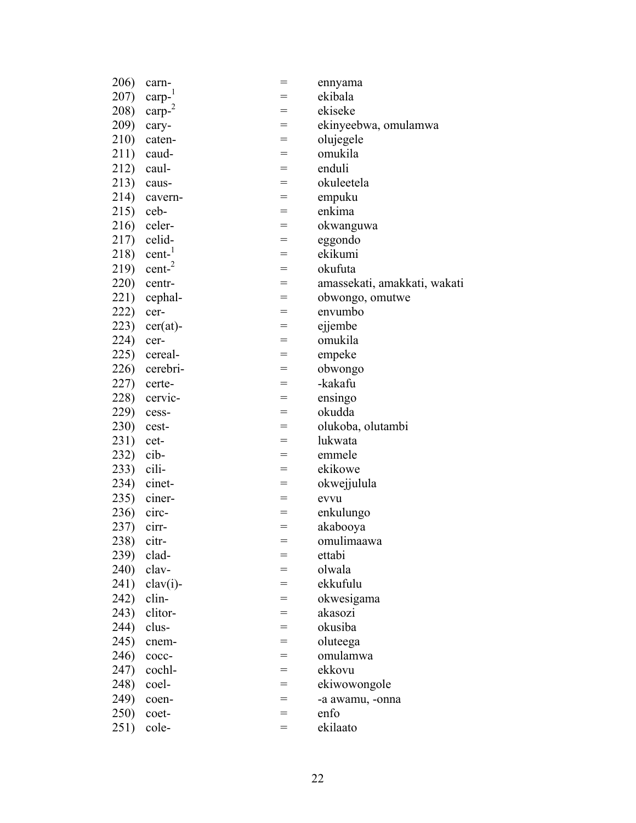| 206)       | carn-             | $=$ | ennyama                      |
|------------|-------------------|-----|------------------------------|
| 207)       | $\text{carp-}^1$  |     | ekibala                      |
| 208)       | $\text{carp-}^2$  | $=$ | ekiseke                      |
| 209)       | cary-             | $=$ | ekinyeebwa, omulamwa         |
| 210)       | caten-            | $=$ | olujegele                    |
| 211)       | caud-             | $=$ | omukila                      |
| 212)       | caul-             | $=$ | enduli                       |
| 213)       | caus-             | $=$ | okuleetela                   |
| 214)       | cavern-           | $=$ | empuku                       |
| 215)       | ceb-              | $=$ | enkima                       |
| 216)       | celer-            | $=$ | okwanguwa                    |
| 217)       | celid-            | $=$ | eggondo                      |
| 218)       | $cent-1$          | $=$ | ekikumi                      |
| 219)       | cent <sup>2</sup> | $=$ | okufuta                      |
| 220)       | centr-            | $=$ | amassekati, amakkati, wakati |
| 221)       | cephal-           | $=$ | obwongo, omutwe              |
| 222)       | cer-              | $=$ | envumbo                      |
| 223)       | $cer(at)$ -       | $=$ | ejjembe                      |
| 224)       | cer-              | $=$ | omukila                      |
| 225)       | cereal-           | $=$ | empeke                       |
| 226)       | cerebri-          | $=$ | obwongo                      |
| 227)       | certe-            | $=$ | -kakafu                      |
| 228)       | cervic-           | $=$ | ensingo                      |
| 229)       | cess-             | $=$ | okudda                       |
| 230)       | cest-             | $=$ | olukoba, olutambi            |
| 231)       | cet-              | $=$ | lukwata                      |
| 232)       | cib-              | $=$ | emmele                       |
| 233)       | cili-             | $=$ | ekikowe                      |
| 234)       | cinet-            | $=$ | okwejjulula                  |
| 235)       | ciner-            | $=$ | evvu                         |
| 236)       | circ-             | $=$ | enkulungo                    |
| 237)       | cirr-             | $=$ | akabooya                     |
| 238) citr- |                   | $=$ | omulimaawa                   |
| 239)       | clad-             |     | ettabi                       |
| 240)       | clav-             | $=$ | olwala                       |
| 241)       | $clav(i)$ -       | $=$ | ekkufulu                     |
| 242)       | clin-             | $=$ | okwesigama                   |
| 243)       | clitor-           | $=$ | akasozi                      |
| 244)       | clus-             | $=$ | okusiba                      |
| 245)       | cnem-             | $=$ | oluteega                     |
| 246)       | cocc-             | $=$ | omulamwa                     |
| 247)       | cochl-            | $=$ | ekkovu                       |
| 248)       | coel-             | $=$ | ekiwowongole                 |
| 249)       | coen-             | $=$ | -a awamu, -onna              |
| 250)       | coet-             | $=$ | enfo                         |
| 251)       | cole-             | $=$ | ekilaato                     |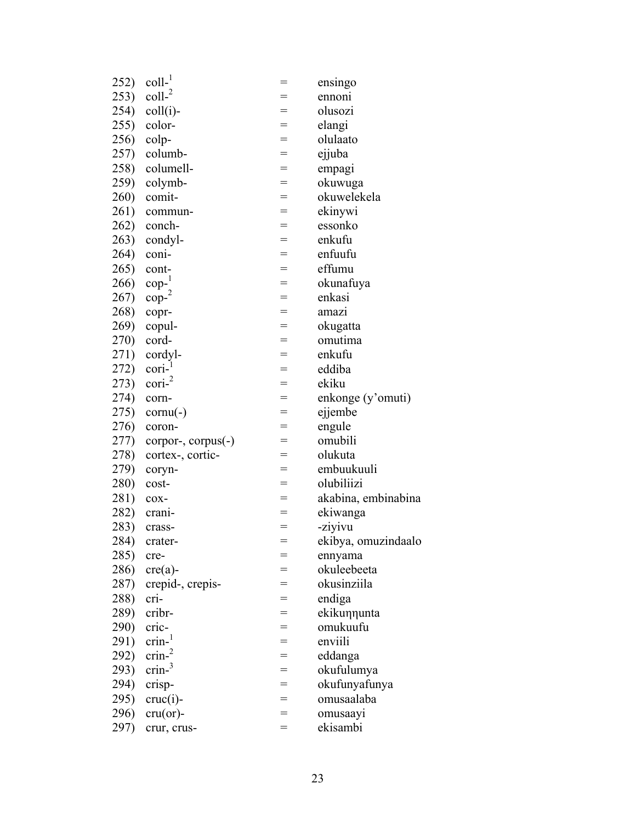| 252) | $\text{coll-}1$            | =   | ensingo             |
|------|----------------------------|-----|---------------------|
| 253) | $\text{coll-}^2$           | =   | ennoni              |
| 254) | $\text{coll}(i)$ -         | $=$ | olusozi             |
| 255) | color-                     | $=$ | elangi              |
| 256) | colp-                      | $=$ | olulaato            |
| 257) | columb-                    | $=$ | ejjuba              |
| 258) | columell-                  | $=$ | empagi              |
| 259) | colymb-                    | $=$ | okuwuga             |
| 260) | comit-                     | $=$ | okuwelekela         |
| 261) | commun-                    | $=$ | ekinywi             |
| 262) | conch-                     | =   | essonko             |
| 263) | condyl-                    | $=$ | enkufu              |
| 264) | coni-                      | $=$ | enfuufu             |
| 265) | cont-                      | $=$ | effumu              |
| 266) | $\text{cop-}^1$            | $=$ | okunafuya           |
| 267) | $\text{cop-}^2$            | $=$ | enkasi              |
| 268) | copr-                      | $=$ | amazı               |
| 269) | copul-                     | $=$ | okugatta            |
| 270) | cord-                      | $=$ | omutima             |
| 271) | cordyl-                    | $=$ | enkufu              |
| 272) | $\text{cori}$ <sup>1</sup> | $=$ | eddiba              |
| 273) | $\text{cori-}^2$           | $=$ | ekiku               |
| 274) | corn-                      | $=$ | enkonge (y'omuti)   |
| 275) | $cornu(-)$                 | $=$ | ejjembe             |
| 276) | coron-                     | $=$ | engule              |
| 277) | corpor-, corpus(-)         | $=$ | omubili             |
| 278) | cortex-, cortic-           |     | olukuta             |
| 279) | coryn-                     | $=$ | embuukuuli          |
| 280) | cost-                      | $=$ | olubiliizi          |
| 281) | cox-                       | $=$ | akabina, embinabina |
| 282) | crani-                     | =   | ekiwanga            |
| 283) | crass-                     | $=$ | -ziyivu             |
| 284) | crater-                    |     | ekibya, omuzindaalo |
| 285) | cre-                       | =   | ennyama             |
| 286) | $cre(a)-$                  | $=$ | okuleebeeta         |
| 287) | crepid-, crepis-           | $=$ | okusinziila         |
| 288) | cri-                       |     | endiga              |
| 289) | cribr-                     | $=$ | ekikunnunta         |
| 290) | cric-                      | $=$ | omukuufu            |
| 291) | crin <sup>1</sup>          | $=$ | enviili             |
| 292) | $\text{crin}^2$            | $=$ | eddanga             |
| 293) | $\text{crin}^3$            | $=$ | okufulumya          |
| 294) | crisp-                     | $=$ | okufunyafunya       |
| 295) | $cruc(i)$ -                | $=$ | omusaalaba          |
| 296) | $cru($ or $)-$             | $=$ | omusaayi            |
| 297) | crur, crus-                | $=$ | ekisambi            |
|      |                            |     |                     |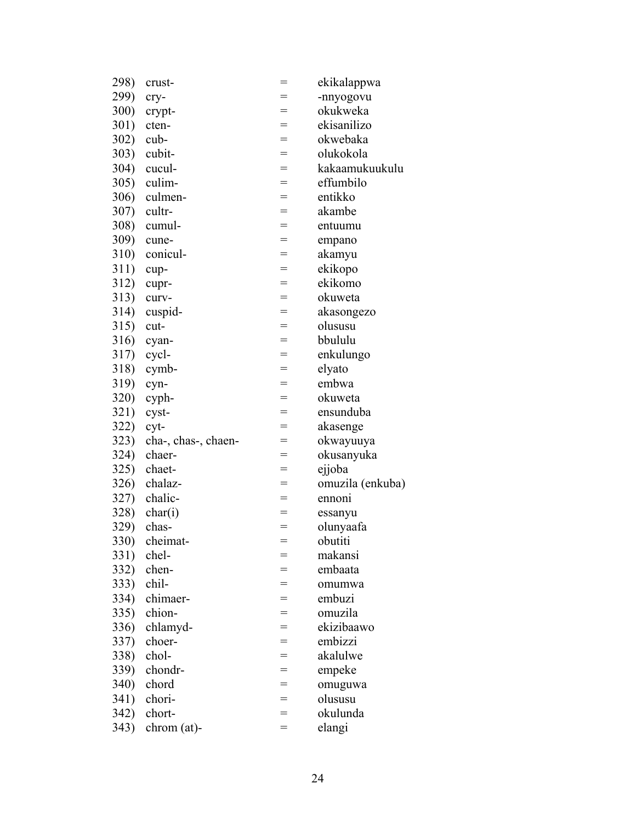| 298)         | crust-              | $=$ | ekikalappwa      |
|--------------|---------------------|-----|------------------|
| 299)         | cry-                |     | -nnyogovu        |
| 300)         | crypt-              | $=$ | okukweka         |
| 301)         | cten-               | $=$ | ekisanilizo      |
| 302)         | cub-                | $=$ | okwebaka         |
| <b>303</b> ) | cubit-              | $=$ | olukokola        |
| 304)         | cucul-              | $=$ | kakaamukuukulu   |
| 305)         | culim-              | $=$ | effumbilo        |
| 306)         | culmen-             | $=$ | entikko          |
| 307)         | cultr-              | $=$ | akambe           |
| <b>308</b> ) | cumul-              | $=$ | entuumu          |
| 309)         | cune-               | $=$ | empano           |
| 310)         | conicul-            | $=$ | akamyu           |
| 311)         | cup-                | $=$ | ekikopo          |
| 312)         | cupr-               | $=$ | ekikomo          |
| 313)         | curv-               | $=$ | okuweta          |
| 314)         | cuspid-             | $=$ | akasongezo       |
| 315)         | cut-                | $=$ | olususu          |
| 316)         | cyan-               | $=$ | bbululu          |
| 317)         | cycl-               | $=$ | enkulungo        |
| 318)         | cymb-               | $=$ | elyato           |
| 319)         | cyn-                | $=$ | embwa            |
| <b>320</b> ) | cyph-               | $=$ | okuweta          |
| 321)         | cyst-               | $=$ | ensunduba        |
| 322)         | cyt-                | $=$ | akasenge         |
| 323)         | cha-, chas-, chaen- | $=$ | okwayuuya        |
| 324)         | chaer-              | $=$ | okusanyuka       |
| 325)         | chaet-              | $=$ | ejjoba           |
| 326)         | chalaz-             | $=$ | omuzila (enkuba) |
| 327)         | chalic-             | $=$ | ennoni           |
| 328)         | char(i)             | $=$ | essanyu          |
| 329)         | chas-               | $=$ | olunyaafa        |
| <b>330)</b>  | cheimat-            | $=$ | obutiti          |
| 331)         | chel-               |     | makansi          |
| 332)         | chen-               |     | embaata          |
| 333)         | chil-               | =   | omumwa           |
| 334)         | chimaer-            | $=$ | embuzi           |
| 335)         | chion-              | $=$ | omuzila          |
| 336)         | chlamyd-            |     | ekizibaawo       |
| 337)         | choer-              | $=$ | embizzi          |
| 338)         | chol-               | $=$ | akalulwe         |
| 339)         | chondr-             | $=$ | empeke           |
| <b>340</b> ) | chord               | $=$ | omuguwa          |
| 341)         | chori-              | $=$ | olususu          |
| 342)         | chort-              |     | okulunda         |
| 343)         | $chrom (at)$ -      | $=$ | elangi           |
|              |                     |     |                  |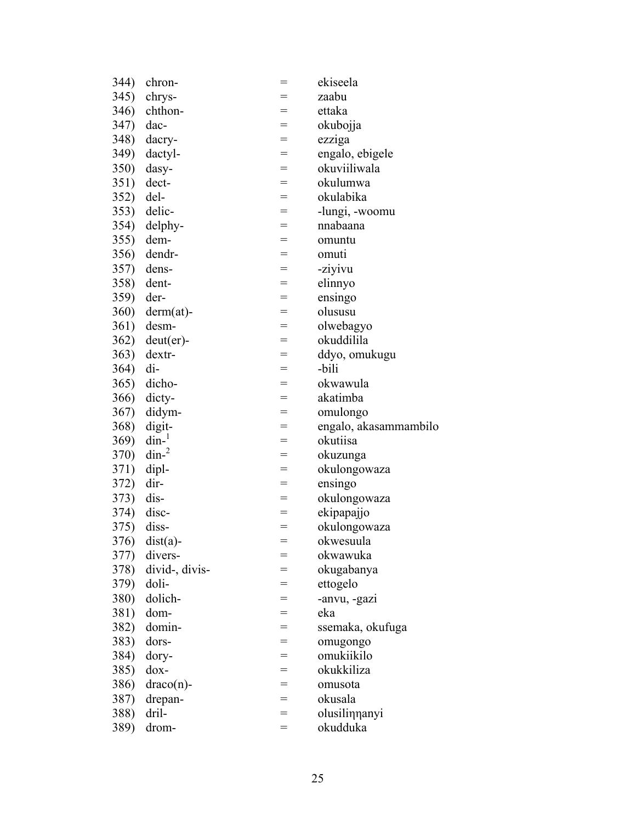| 344)         | chron-         | $=$ | ekiseela              |
|--------------|----------------|-----|-----------------------|
| 345)         | chrys-         |     | zaabu                 |
| 346)         | chthon-        | $=$ | ettaka                |
| 347)         | dac-           | $=$ | okubojja              |
| 348)         | dacry-         | $=$ | ezziga                |
| 349)         | dactyl-        | $=$ | engalo, ebigele       |
| 350)         | dasy-          | $=$ | okuviiliwala          |
| 351)         | dect-          | $=$ | okulumwa              |
| 352)         | del-           | $=$ | okulabika             |
| 353)         | delic-         | $=$ | -lungi, -woomu        |
| 354)         | delphy-        | $=$ | nnabaana              |
| 355)         | dem-           | $=$ | omuntu                |
| 356)         | dendr-         | $=$ | omuti                 |
| 357)         | dens-          | $=$ | -ziyivu               |
| 358)         | dent-          | $=$ | elinnyo               |
| 359)         | der-           | $=$ | ensingo               |
| <b>360</b> ) | $derm(at)$ -   | $=$ | olususu               |
| 361)         | desm-          | $=$ | olwebagyo             |
| 362)         | $deut(er)$ -   | $=$ | okuddilila            |
| 363)         | dextr-         | $=$ | ddyo, omukugu         |
| 364)         | $di-$          | $=$ | -bili                 |
| 365)         | dicho-         | $=$ | okwawula              |
| 366)         | dicty-         | $=$ | akatimba              |
| 367)         | didym-         | $=$ | omulongo              |
| 368)         | digit-         | $=$ | engalo, akasammambilo |
| 369)         | $\dim^{-1}$    | $=$ | okutiisa              |
| 370)         | $\dim^{-2}$    | $=$ | okuzunga              |
| 371)         | dipl-          | $=$ | okulongowaza          |
| 372)         | dir-           | $=$ | ensingo               |
| 373)         | dis-           | $=$ | okulongowaza          |
| 374)         | disc-          | $=$ | ekipapajjo            |
| 375)         | diss-          | $=$ | okulongowaza          |
|              | 376) dist(a)-  | $=$ | okwesuula             |
| 377)         | divers-        | =   | okwawuka              |
| 378)         | divid-, divis- | =   | okugabanya            |
| 379)         | doli-          | $=$ | ettogelo              |
| <b>380</b> ) | dolich-        | =   | -anvu, -gazi          |
| 381)         | dom-           |     | eka                   |
| 382)         | domin-         | $=$ | ssemaka, okufuga      |
| 383)         | dors-          | $=$ | omugongo              |
| 384)         |                | $=$ | omukiikilo            |
|              | dory-          |     | okukkiliza            |
| 385)         | $d$ ox-        | $=$ |                       |
| 386)         | $draco(n)$ -   | $=$ | omusota               |
| 387)         | drepan-        | $=$ | okusala               |
| 388)         | dril-          | $=$ | olusilinnanyi         |
| 389)         | drom-          | $=$ | okudduka              |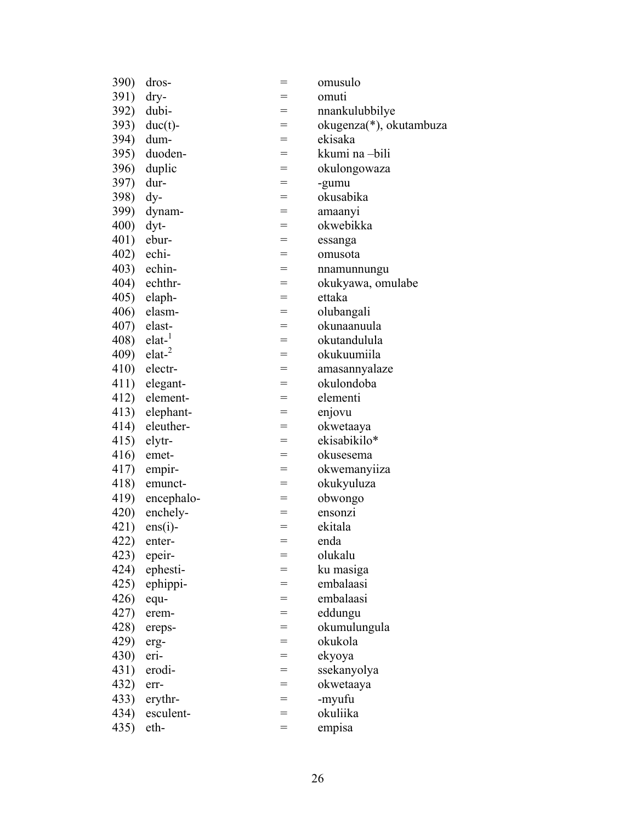| <b>390)</b> | dros-             |     | omusulo                             |
|-------------|-------------------|-----|-------------------------------------|
| 391)        | dry-              | =   | omuti                               |
| 392)        | dubi-             | $=$ | nnankulubbilye                      |
| 393)        | $duc(t)$ -        | $=$ | okugenza <sup>*</sup> ), okutambuza |
| 394)        | dum-              | $=$ | ekisaka                             |
| 395)        | duoden-           | $=$ | kkumi na -bili                      |
| 396)        | duplic            | $=$ | okulongowaza                        |
| 397)        | dur-              | $=$ | -gumu                               |
| 398)        | $\mathrm{d}y$ -   | $=$ | okusabika                           |
| 399)        | dynam-            | $=$ | amaanyi                             |
| 400)        | $dyt$ -           | $=$ | okwebikka                           |
| 401)        | ebur-             | $=$ | essanga                             |
| 402)        | echi-             | $=$ | omusota                             |
| 403)        | echin-            | $=$ | nnamunnungu                         |
| 404)        | echthr-           | $=$ | okukyawa, omulabe                   |
| 405)        | elaph-            | $=$ | ettaka                              |
| 406)        | elasm-            | $=$ | olubangali                          |
| 407)        | elast-            | $=$ | okunaanuula                         |
| 408)        | elat <sup>1</sup> | $=$ | okutandulula                        |
| 409)        | elat <sup>2</sup> | $=$ | okukuumiila                         |
| 410)        | electr-           | $=$ | amasannyalaze                       |
| 411)        | elegant-          | $=$ | okulondoba                          |
| 412)        | element-          | $=$ | elementi                            |
| 413)        | elephant-         | $=$ | enjovu                              |
| 414)        | eleuther-         | $=$ | okwetaaya                           |
| 415)        | elytr-            | $=$ | ekisabikilo*                        |
| 416)        | emet-             | $=$ | okusesema                           |
| 417)        | empir-            | $=$ | okwemanyiiza                        |
| 418)        | emunct-           | $=$ | okukyuluza                          |
| 419)        | encephalo-        | $=$ | obwongo                             |
| 420)        | enchely-          | $=$ | ensonzi                             |
| 421)        | $ens(i)$ -        | $=$ | ekitala                             |
|             | 422) enter-       | $=$ | enda                                |
| 423)        | epeir-            | $=$ | olukalu                             |
| 424)        | ephesti-          | =   | ku masiga                           |
| 425)        | ephippi-          | $=$ | embalaasi                           |
| 426)        | equ-              | $=$ | embalaasi                           |
| 427)        | erem-             | =   | eddungu                             |
| 428)        | ereps-            | $=$ | okumulungula                        |
| 429)        | erg-              | =   | okukola                             |
| 430)        | eri-              | $=$ | ekyoya                              |
| 431)        | erodi-            | $=$ | ssekanyolya                         |
| 432)        | err-              | $=$ | okwetaaya                           |
| 433)        | erythr-           | $=$ | -myufu                              |
| 434)        | esculent-         | =   | okuliika                            |
| 435)        | eth-              | $=$ | empisa                              |
|             |                   |     |                                     |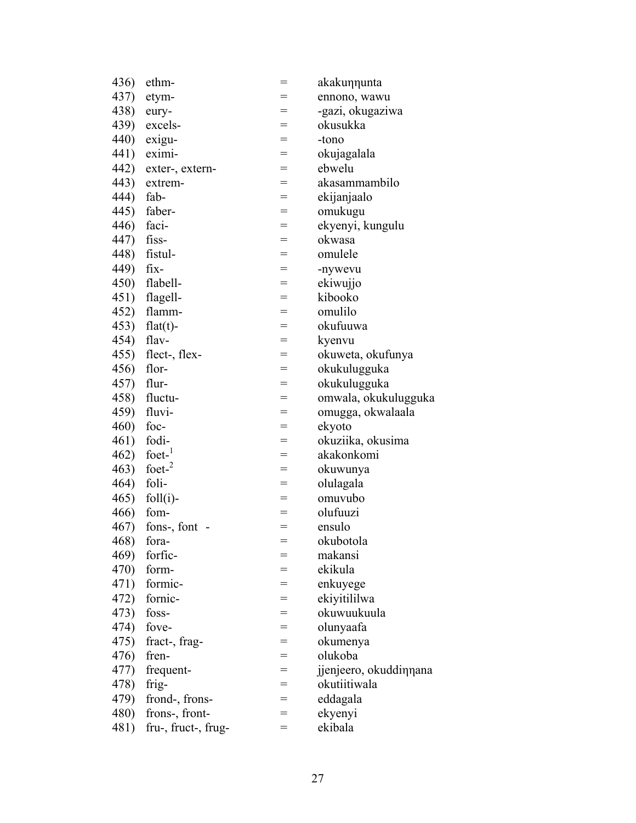| 436) | ethm-                                   | $=$ | akakunnunta            |
|------|-----------------------------------------|-----|------------------------|
| 437) | etym-                                   |     | ennono, wawu           |
| 438) | eury-                                   | $=$ | -gazi, okugaziwa       |
| 439) | excels-                                 | $=$ | okusukka               |
| 440) | exigu-                                  | $=$ | -tono                  |
| 441) | eximi-                                  | $=$ | okujagalala            |
| 442) | exter-, extern-                         | $=$ | ebwelu                 |
| 443) | extrem-                                 | $=$ | akasammambilo          |
| 444) | fab-                                    | $=$ | ekijanjaalo            |
| 445) | faber-                                  | $=$ | omukugu                |
| 446) | faci-                                   | $=$ | ekyenyi, kungulu       |
| 447) | fiss-                                   | $=$ | okwasa                 |
| 448) | fistul-                                 | $=$ | omulele                |
| 449) | fix-                                    | $=$ | -nywevu                |
| 450) | flabell-                                | $=$ | ekiwujjo               |
| 451) | flagell-                                | $=$ | kibooko                |
| 452) | flamm-                                  | $=$ | omulilo                |
| 453) | $flat(t)$ -                             | $=$ | okufuuwa               |
| 454) | flav-                                   | $=$ | kyenvu                 |
| 455) | flect-, flex-                           | $=$ | okuweta, okufunya      |
| 456) | flor-                                   | $=$ | okukulugguka           |
| 457) | flur-                                   | $=$ | okukulugguka           |
| 458) | fluctu-                                 | $=$ | omwala, okukulugguka   |
| 459) | fluvi-                                  | $=$ | omugga, okwalaala      |
| 460) | foc-                                    | $=$ | ekyoto                 |
| 461) | fodi-                                   | $=$ | okuziika, okusima      |
| 462) | foet- $\frac{1}{1}$                     | $=$ | akakonkomi             |
| 463) | foet- $2$                               | $=$ | okuwunya               |
| 464) | foli-                                   | $=$ | olulagala              |
| 465) | $foll(i)$ -                             | $=$ | omuvubo                |
| 466) | fom-                                    | $=$ | olufuuzi               |
| 467) | fons-, font<br>$\overline{\phantom{a}}$ | $=$ | ensulo                 |
| 468) | fora-                                   | $=$ | okubotola              |
| 469) | forfic-                                 |     | makansi                |
| 470) | form-                                   |     | ekikula                |
| 471) | formic-                                 | $=$ | enkuyege               |
| 472) | fornic-                                 | $=$ | ekiyitililwa           |
| 473) | foss-                                   | $=$ | okuwuukuula            |
| 474) | fove-                                   | $=$ | olunyaafa              |
| 475) | fract-, frag-                           | $=$ | okumenya               |
| 476) | fren-                                   | $=$ | olukoba                |
| 477) | frequent-                               | =   | jjenjeero, okuddinnana |
| 478) | frig-                                   | $=$ | okutiitiwala           |
| 479) | frond-, frons-                          | $=$ | eddagala               |
| 480) | frons-, front-                          | =   | ekyenyi                |
| 481) | fru-, fruct-, frug-                     | $=$ | ekibala                |
|      |                                         |     |                        |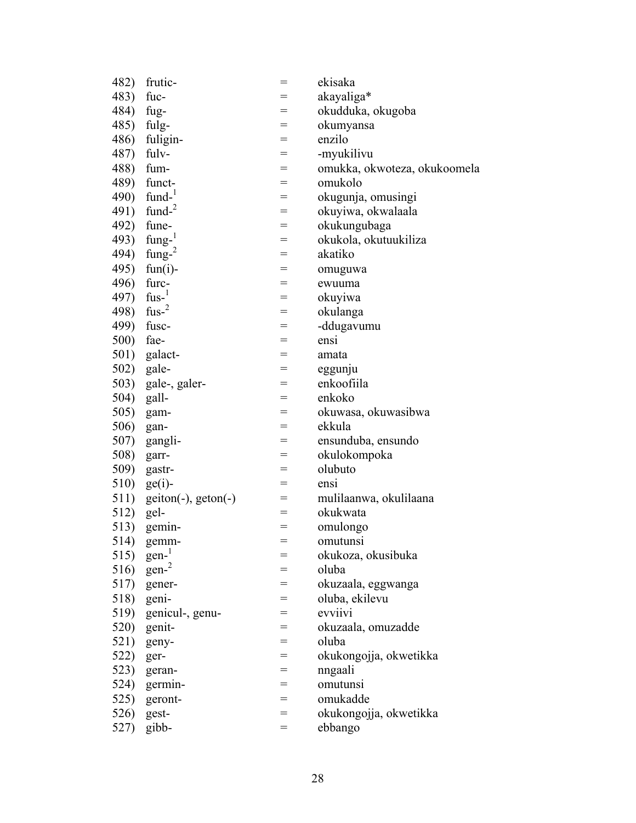| 482)       | frutic-              | $=$ | ekisaka                      |
|------------|----------------------|-----|------------------------------|
| 483)       | fuc-                 |     | akayaliga*                   |
| 484)       | fug-                 | $=$ | okudduka, okugoba            |
| 485) fulg- |                      | $=$ | okumyansa                    |
| 486)       | fuligin-             | $=$ | enzilo                       |
| 487)       | fulv-                | $=$ | -myukilivu                   |
| 488)       | fum-                 | $=$ | omukka, okwoteza, okukoomela |
| 489)       | funct-               | $=$ | omukolo                      |
| 490)       | fund- $1$            | $=$ | okugunja, omusingi           |
| 491)       | fund- $2$            | =   | okuyiwa, okwalaala           |
|            | 492) fune-           | $=$ | okukungubaga                 |
| 493)       | $fung-$ <sup>1</sup> | $=$ | okukola, okutuukiliza        |
| 494)       | fung- $2$            | $=$ | akatiko                      |
| 495)       | $fun(i)$ -           | $=$ | omuguwa                      |
| 496)       | furc-                | $=$ | ewuuma                       |
| 497)       | $fus-$ <sup>1</sup>  | $=$ | okuyiwa                      |
| 498)       | fus- $2$             | $=$ | okulanga                     |
| 499)       | fusc-                | $=$ | -ddugavumu                   |
| 500)       | fae-                 | $=$ | ensi                         |
| 501)       | galact-              | $=$ | amata                        |
| 502)       | gale-                | $=$ | eggunju                      |
| 503)       | gale-, galer-        | =   | enkoofiila                   |
| 504) gall- |                      | $=$ | enkoko                       |
| 505)       | gam-                 | $=$ | okuwasa, okuwasibwa          |
| 506)       | gan-                 | $=$ | ekkula                       |
| 507)       | gangli-              | $=$ | ensunduba, ensundo           |
| 508)       | garr-                | $=$ | okulokompoka                 |
| 509)       | gastr-               | $=$ | olubuto                      |
| 510)       | $ge(i)$ -            | $=$ | ensi                         |
| 511)       | $geton(-), geton(-)$ | $=$ | mulilaanwa, okulilaana       |
| 512) gel-  |                      | $=$ | okukwata                     |
| 513)       | gemin-               | $=$ | omulongo                     |
| 514)       | gemm-                | $=$ | omutunsi                     |
| 515)       | gen <sup>1</sup>     |     | okukoza, okusibuka           |
| 516)       | gen <sup>2</sup>     |     | oluba                        |
| 517)       | gener-               | =   | okuzaala, eggwanga           |
| 518)       | geni-                | $=$ | oluba, ekilevu               |
| 519)       | genicul-, genu-      | $=$ | evviivi                      |
| 520)       | genit-               | =   | okuzaala, omuzadde           |
| 521)       | geny-                | $=$ | oluba                        |
| 522)       | ger-                 | $=$ | okukongojja, okwetikka       |
| 523)       | geran-               | $=$ | nngaali                      |
| 524)       | germin-              | $=$ | omutunsi                     |
| 525)       | geront-              | $=$ | omukadde                     |
| 526)       | gest-                | $=$ | okukongojja, okwetikka       |
| 527)       | gibb-                | $=$ | ebbango                      |
|            |                      |     |                              |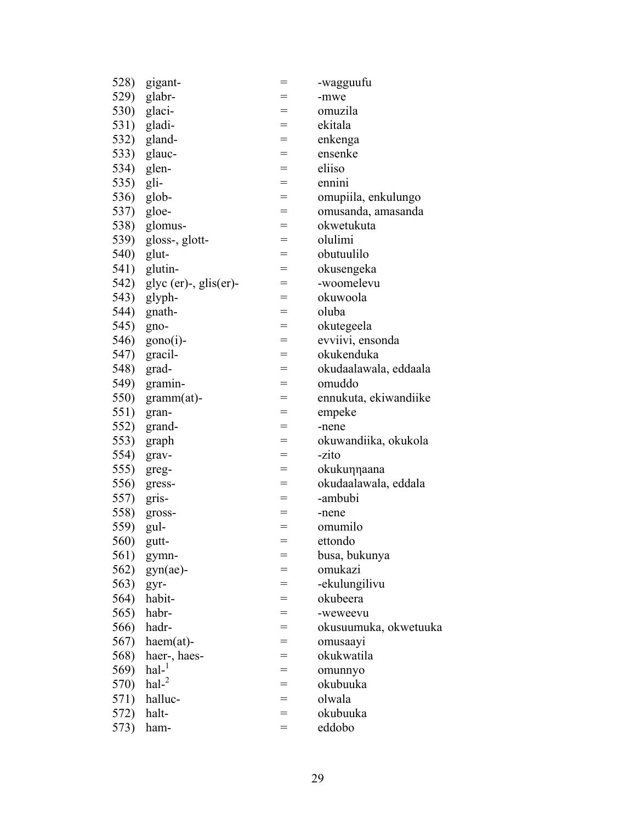| 528) | gigant-                      | $=$ | -wagguufu             |
|------|------------------------------|-----|-----------------------|
| 529) | glabr-                       |     | -mwe                  |
|      | 530) glaci-                  | $=$ | omuzila               |
|      | 531) gladi-                  | $=$ | ekitala               |
| 532) | gland-                       | $=$ | enkenga               |
| 533) | glauc-                       | $=$ | ensenke               |
|      | 534) glen-                   | $=$ | eliiso                |
| 535) | gli-                         | $=$ | ennini                |
| 536) | glob-                        | $=$ | omupiila, enkulungo   |
|      | 537) gloe-                   | $=$ | omusanda, amasanda    |
| 538) | glomus-                      | $=$ | okwetukuta            |
| 539) | gloss-, glott-               | $=$ | olulimi               |
| 540) | glut-                        | $=$ | obutuulilo            |
|      | 541) glutin-                 | $=$ | okusengeka            |
| 542) | $glyc (er)$ -, $glis (er)$ - | $=$ | -woomelevu            |
| 543) | glyph-                       | $=$ | okuwoola              |
|      | 544) gnath-                  | $=$ | oluba                 |
| 545) | gno-                         | $=$ | okutegeela            |
| 546) | $gono(i)$ -                  | $=$ | evviivi, ensonda      |
| 547) | gracil-                      | $=$ | okukenduka            |
| 548) | grad-                        | $=$ | okudaalawala, eddaala |
| 549) | gramin-                      | $=$ | omuddo                |
| 550) | $gramm(at)$ -                | $=$ | ennukuta, ekiwandiike |
| 551) | gran-                        | $=$ | empeke                |
| 552) | grand-                       | $=$ | -nene                 |
| 553) | graph                        | $=$ | okuwandiika, okukola  |
| 554) | grav-                        | $=$ | -zito                 |
| 555) | greg-                        | $=$ | okukunnaana           |
| 556) | gress-                       | $=$ | okudaalawala, eddala  |
| 557) | gris-                        | $=$ | -ambubi               |
| 558) | gross-                       | $=$ | -nene                 |
| 559) | gul-                         | $=$ | omumilo               |
| 560) | gutt-                        | $=$ | ettondo               |
| 561) | gymn-                        |     | busa, bukunya         |
| 562) | $gyn(ae)$ -                  |     | omukazi               |
| 563) | gyr-                         | =   | -ekulungilivu         |
| 564) | habit-                       | $=$ | okubeera              |
| 565) | habr-                        | $=$ | -weweevu              |
| 566) | hadr-                        |     | okusuumuka, okwetuuka |
| 567) | $haem(at)$ -                 | $=$ | omusaayi              |
| 568) | haer-, haes-                 | $=$ | okukwatila            |
| 569) | $hal-$ <sup>1</sup>          | $=$ | omunnyo               |
| 570) | $hal-2$                      | $=$ | okubuuka              |
| 571) | halluc-                      | $=$ | olwala                |
| 572) | halt-                        | $=$ | okubuuka              |
| 573) | ham-                         | $=$ | eddobo                |
|      |                              |     |                       |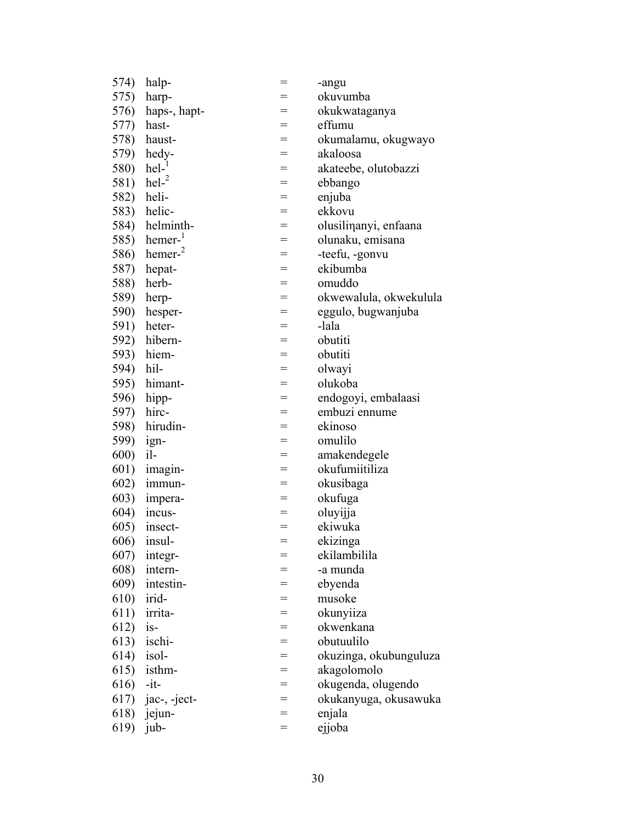| 574)         | halp-                 | $=$ | -angu                  |
|--------------|-----------------------|-----|------------------------|
| 575)         | harp-                 | =   | okuvumba               |
| 576)         | haps-, hapt-          | $=$ | okukwataganya          |
| 577)         | hast-                 | $=$ | effumu                 |
| 578)         | haust-                | $=$ | okumalamu, okugwayo    |
| 579)         | hedy-                 | $=$ | akaloosa               |
| 580)         | $\text{hel-}^1$       | $=$ | akateebe, olutobazzi   |
| 581)         | $\text{hel}^2$        | $=$ | ebbango                |
| 582)         | heli-                 | $=$ | enjuba                 |
|              | 583) helic-           | $=$ | ekkovu                 |
| 584)         | helminth-             | $=$ | olusilinanyi, enfaana  |
| 585)         | $hemer-$ <sup>1</sup> | $=$ | olunaku, emisana       |
| 586)         | hemer <sup>2</sup>    | $=$ | -teefu, -gonvu         |
| 587)         | hepat-                | $=$ | ekibumba               |
| 588)         | herb-                 | $=$ | omuddo                 |
| 589)         | herp-                 | $=$ | okwewalula, okwekulula |
| <b>590</b> ) | hesper-               | $=$ | eggulo, bugwanjuba     |
| 591)         | heter-                | $=$ | -lala                  |
| 592)         | hibern-               | $=$ | obutiti                |
| 593)         | hiem-                 | $=$ | obutiti                |
| 594)         | hil-                  | $=$ | olwayi                 |
| 595)         | himant-               | $=$ | olukoba                |
| 596)         | hipp-                 | $=$ | endogoyi, embalaasi    |
| 597)         | hirc-                 | $=$ | embuzi ennume          |
| 598)         | hirudin-              | $=$ | ekinoso                |
| 599)         | ign-                  | $=$ | omulilo                |
| <b>600</b> ) | il-                   | $=$ | amakendegele           |
| 601)         | imagin-               | $=$ | okufumiitiliza         |
| 602)         | immun-                | $=$ | okusibaga              |
| 603)         | impera-               | $=$ | okufuga                |
| 604)         | incus-                | $=$ | oluyijja               |
| 605)         | insect-               | $=$ | ekiwuka                |
|              | $606$ ) insul-        | $=$ | ekizinga               |
| 607)         | integr-               | =   | ekilambilila           |
| 608)         | intern-               | =   | -a munda               |
| 609)         | intestin-             | $=$ | ebyenda                |
| 610)         | irid-                 | $=$ | musoke                 |
| 611)         | irrita-               | $=$ | okunyiiza              |
| 612)         | $is-$                 | $=$ | okwenkana              |
| 613)         | ischi-                | $=$ | obutuulilo             |
| 614)         | isol-                 | $=$ | okuzinga, okubunguluza |
| 615)         | isthm-                | $=$ | akagolomolo            |
| 616)         | $-it-$                | $=$ | okugenda, olugendo     |
| 617)         | jac-, -ject-          | $=$ | okukanyuga, okusawuka  |
| 618)         | jejun-                | $=$ | enjala                 |
| 619)         | jub-                  | $=$ | ejjoba                 |
|              |                       |     |                        |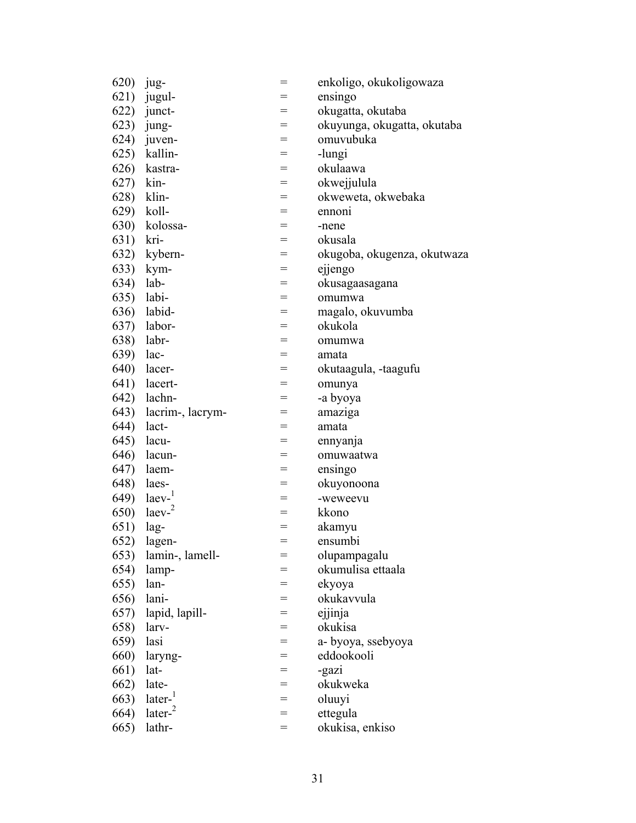| 620) | jug-                     | $=$ | enkoligo, okukoligowaza     |
|------|--------------------------|-----|-----------------------------|
| 621) | jugul-                   | =   | ensingo                     |
| 622) | junct-                   | $=$ | okugatta, okutaba           |
| 623) | jung-                    | $=$ | okuyunga, okugatta, okutaba |
| 624) | juven-                   | $=$ | omuvubuka                   |
| 625) | kallin-                  | $=$ | -lungi                      |
| 626) | kastra-                  | $=$ | okulaawa                    |
| 627) | kin-                     | $=$ | okwejjulula                 |
| 628) | klin-                    | $=$ | okweweta, okwebaka          |
| 629) | koll-                    | $=$ | ennoni                      |
| 630) | kolossa-                 | $=$ | -nene                       |
| 631) | kri-                     | $=$ | okusala                     |
| 632) | kybern-                  | $=$ | okugoba, okugenza, okutwaza |
| 633) | kym-                     | $=$ | ejjengo                     |
| 634) | lab-                     | $=$ | okusagaasagana              |
| 635) | labi-                    | $=$ | omumwa                      |
| 636) | labid-                   | $=$ | magalo, okuvumba            |
| 637) | labor-                   | $=$ | okukola                     |
| 638) | labr-                    | $=$ | omumwa                      |
| 639) | lac-                     | $=$ | amata                       |
| 640) | lacer-                   | $=$ | okutaagula, -taagufu        |
| 641) | lacert-                  | $=$ | omunya                      |
| 642) | lachn-                   | $=$ | -a byoya                    |
| 643) | lacrim-, lacrym-         | $=$ | amaziga                     |
| 644) | lact-                    | $=$ | amata                       |
| 645) | lacu-                    | $=$ | ennyanja                    |
| 646) | lacun-                   | $=$ | omuwaatwa                   |
| 647) | laem-                    | $=$ | ensingo                     |
| 648) | laes-                    | $=$ | okuyonoona                  |
| 649) | $l$ aev $l$              | $=$ | -weweevu                    |
| 650) | $l$ aev $-$ <sup>2</sup> | $=$ | kkono                       |
| 651) | lag-                     | $=$ | akamyu                      |
| 652) | lagen-                   | $=$ | ensumbi                     |
| 653) | lamin-, lamell-          | $=$ | olupampagalu                |
| 654) | lamp-                    | =   | okumulisa ettaala           |
| 655) | lan-                     | $=$ | ekyoya                      |
| 656) | lani-                    | $=$ | okukavvula                  |
| 657) | lapid, lapill-           | $=$ | ejjinja                     |
| 658) | larv-                    | $=$ | okukisa                     |
| 659) | lasi                     | $=$ | a- byoya, ssebyoya          |
| 660) | laryng-                  | $=$ | eddookooli                  |
| 661) | lat-                     | $=$ | -gazi                       |
| 662) | late-                    | $=$ | okukweka                    |
| 663) | later <sup>1</sup>       | $=$ | oluuyi                      |
| 664) | later <sup>2</sup>       | $=$ | ettegula                    |
| 665) | lathr-                   | $=$ | okukisa, enkiso             |
|      |                          |     |                             |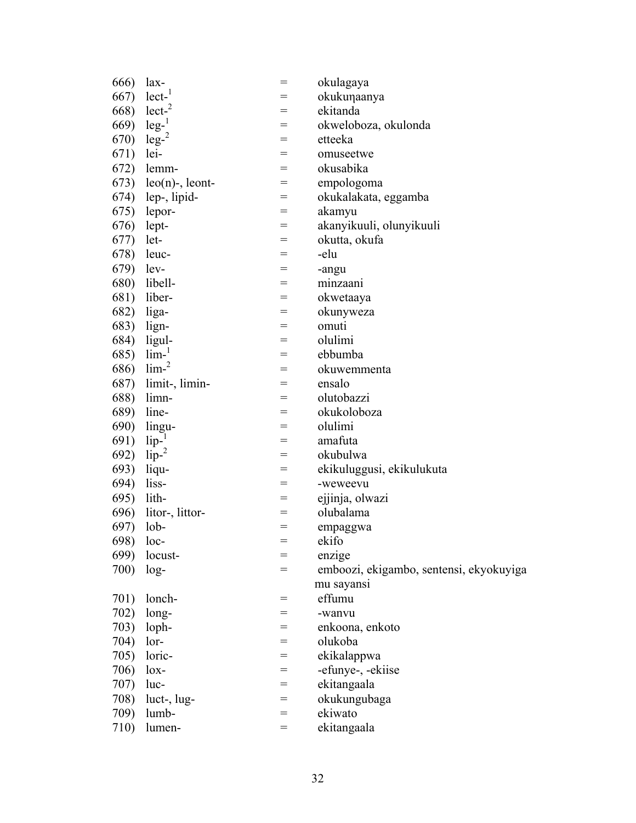| 666)         | lax-               | $=$               | okulagaya                               |
|--------------|--------------------|-------------------|-----------------------------------------|
| 667)         | lect <sup>1</sup>  |                   | okukunaanya                             |
| 668)         | lect <sup>2</sup>  | $=$               | ekitanda                                |
| 669)         | $leg-1$            | $=$               | okweloboza, okulonda                    |
| 670)         | $leg-2$            | $=$               | etteeka                                 |
| 671)         | lei-               | $=$               | omuseetwe                               |
| 672)         | lemm-              | $=$               | okusabika                               |
| 673)         | $leo(n)$ -, leont- | $=$               | empologoma                              |
| 674)         | lep-, lipid-       | $=$               | okukalakata, eggamba                    |
| 675)         | lepor-             | $=$               | akamyu                                  |
| 676)         | lept-              | $=$               | akanyikuuli, olunyikuuli                |
| 677)         | let-               | $=$               | okutta, okufa                           |
| 678)         | leuc-              | $=$               | -elu                                    |
| 679)         | lev-               | $=$               | -angu                                   |
| 680)         | libell-            | $=$               | minzaani                                |
| 681)         | liber-             | $=$               | okwetaaya                               |
| 682)         | liga-              | $=$               | okunyweza                               |
| 683)         | lign-              | $=$               | omuti                                   |
| 684)         | ligul-             | $=$               | olulimi                                 |
| 685)         | $lim-1$            | $=$               | ebbumba                                 |
| 686)         | lim <sup>2</sup>   | $=$               | okuwemmenta                             |
| 687)         | limit-, limin-     | $=$               | ensalo                                  |
| 688)         | limn-              | $=$               | olutobazzi                              |
| 689)         | line-              | $=$               | okukoloboza                             |
| <b>690</b> ) | lingu-             | $=$               | olulimi                                 |
| 691)         | lip-               | $=$               | amafuta                                 |
| 692)         | $lip-2$            | $=$               | okubulwa                                |
| 693)         | liqu-              | $=$               | ekikuluggusi, ekikulukuta               |
| 694)         | liss-              | $=$               | -weweevu                                |
| 695)         | lith-              | $=$               | ejjinja, olwazi                         |
| 696)         | litor-, littor-    | $=$               | olubalama                               |
| 697)         | $\text{lob-}$      | $=$               | empaggwa                                |
| 698)         | loc-               | $\!\!\!=\!\!\!\!$ | ekifo                                   |
| 699)         | locust-            |                   | enzige                                  |
| 700)         | $log-$             |                   | emboozi, ekigambo, sentensi, ekyokuyiga |
|              |                    |                   | mu sayansi                              |
| 701)         | lonch-             | $=$               | effumu                                  |
| 702)         | long-              | $=$               | -wanvu                                  |
| 703)         | loph-              | =                 | enkoona, enkoto                         |
| 704)         | lor-               | $=$               | olukoba                                 |
| 705)         | loric-             | $=$               | ekikalappwa                             |
| 706)         | $\log$ -           | $=$               | -efunye-, -ekiise                       |
| 707)         | luc-               | $=$               | ekitangaala                             |
| 708)         | luct-, lug-        | $=$               | okukungubaga                            |
| 709)         | lumb-              | $=$               | ekiwato                                 |
| 710)         | lumen-             | $=$               | ekitangaala                             |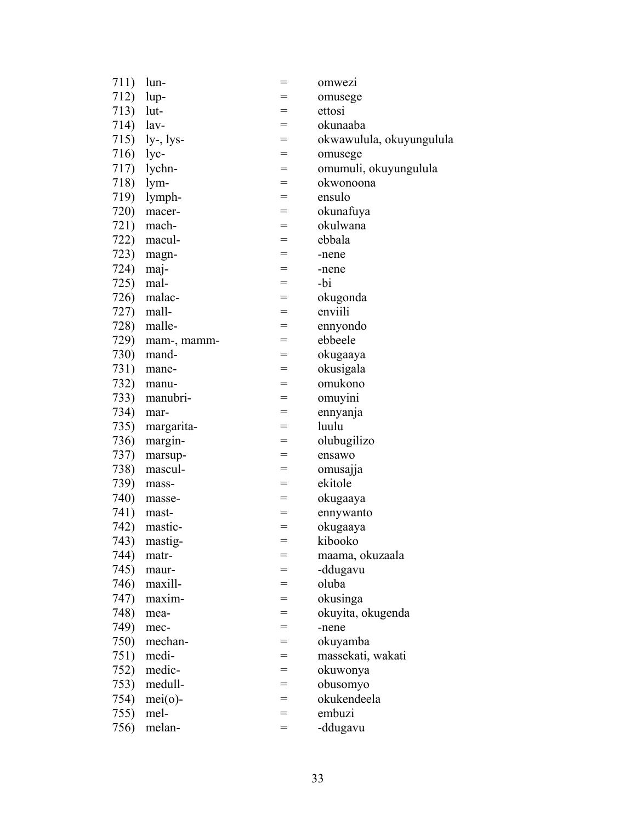| 711) | lun-         | =   | omwezi                   |
|------|--------------|-----|--------------------------|
| 712) | lup-         | =   | omusege                  |
| 713) | lut-         | $=$ | ettosi                   |
| 714) | lav-         | $=$ | okunaaba                 |
| 715) | $ly-, lys-$  | $=$ | okwawulula, okuyungulula |
| 716) | lyc-         | $=$ | omusege                  |
| 717) | lychn-       | $=$ | omumuli, okuyungulula    |
| 718) | lym-         | $=$ | okwonoona                |
| 719) | lymph-       | $=$ | ensulo                   |
| 720) | macer-       | $=$ | okunafuya                |
| 721) | mach-        | $=$ | okulwana                 |
| 722) | macul-       | $=$ | ebbala                   |
| 723) | magn-        | $=$ | -nene                    |
| 724) | maj-         | $=$ | -nene                    |
| 725) | mal-         | $=$ | -bi                      |
| 726) | malac-       | $=$ | okugonda                 |
| 727) | mall-        | $=$ | enviili                  |
| 728) | malle-       | $=$ | ennyondo                 |
| 729) | mam-, mamm-  | $=$ | ebbeele                  |
| 730) | mand-        | $=$ | okugaaya                 |
| 731) | mane-        | $=$ | okusigala                |
| 732) | manu-        | $=$ | omukono                  |
| 733) | manubri-     | $=$ | omuyini                  |
| 734) | mar-         | $=$ | ennyanja                 |
| 735) | margarita-   | $=$ | luulu                    |
| 736) | margin-      | $=$ | olubugilizo              |
| 737) | marsup-      | $=$ | ensawo                   |
| 738) | mascul-      | $=$ | omusajja                 |
| 739) | mass-        | $=$ | ekitole                  |
| 740) | masse-       | $=$ | okugaaya                 |
| 741) | mast-        | $=$ | ennywanto                |
| 742) | mastic-      | $=$ | okugaaya                 |
|      | 743) mastig- | $=$ | kibooko                  |
| 744) | matr-        | =   | maama, okuzaala          |
| 745) | maur-        | =   | -ddugavu                 |
| 746) | maxill-      | $=$ | oluba                    |
| 747) | maxim-       | $=$ | okusinga                 |
| 748) | mea-         | $=$ | okuyita, okugenda        |
| 749) | mec-         | $=$ | -nene                    |
| 750) | mechan-      | $=$ | okuyamba                 |
| 751) | medi-        | $=$ | massekati, wakati        |
| 752) | medic-       | $=$ | okuwonya                 |
| 753) | medull-      | $=$ | obusomyo                 |
| 754) | $mei(o)$ -   | $=$ | okukendeela              |
| 755) | mel-         | $=$ | embuzi                   |
| 756) | melan-       | $=$ | -ddugavu                 |
|      |              |     |                          |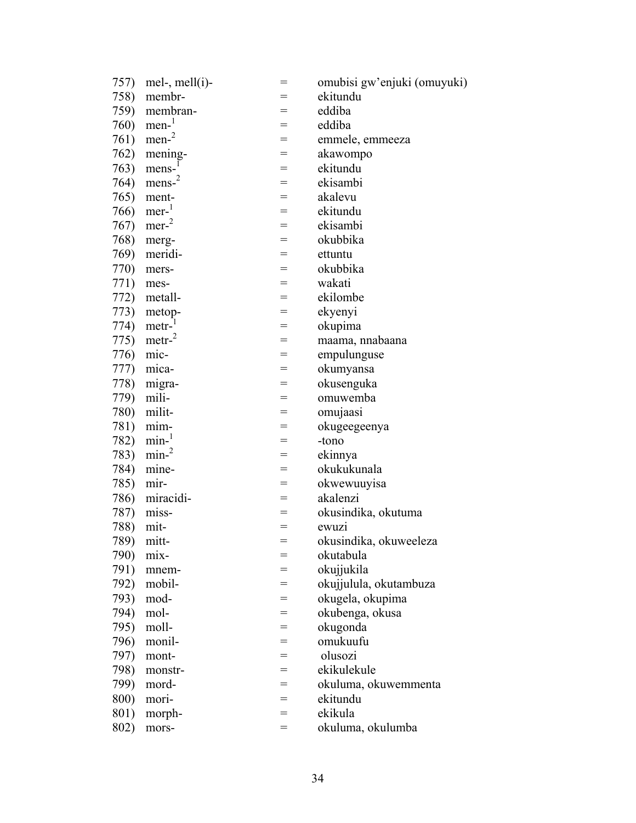| 757) | mel-, mell $(i)$ -  | $=$ | omubisi gw'enjuki (omuyuki) |
|------|---------------------|-----|-----------------------------|
| 758) | membr-              | =   | ekitundu                    |
| 759) | membran-            | $=$ | eddiba                      |
| 760) | $men-1$             | $=$ | eddiba                      |
| 761) | $men-2$             | $=$ | emmele, emmeeza             |
| 762) | mening-             | $=$ | akawompo                    |
| 763) | $mens-1$            | $=$ | ekitundu                    |
| 764) | $mens-2$            | $=$ | ekisambi                    |
| 765) | ment-               | $=$ | akalevu                     |
| 766) | $mer-$ <sup>1</sup> | $=$ | ekitundu                    |
| 767) | $mer-2$             | $=$ | ekisambi                    |
| 768) | merg-               | $=$ | okubbika                    |
| 769) | meridi-             | $=$ | ettuntu                     |
| 770) | mers-               | $=$ | okubbika                    |
| 771) | mes-                | $=$ | wakati                      |
| 772) | metall-             | $=$ | ekilombe                    |
| 773) | metop-              | $=$ | ekyenyi                     |
| 774) | metr-               | $=$ | okupima                     |
| 775) | $\text{metr}^2$     | $=$ | maama, nnabaana             |
| 776) | mic-                | $=$ | empulunguse                 |
| 777) | mica-               | $=$ | okumyansa                   |
| 778) | migra-              | $=$ | okusenguka                  |
| 779) | mili-               | $=$ | omuwemba                    |
| 780) | milit-              | $=$ | omujaasi                    |
| 781) | mim-                | $=$ | okugeegeenya                |
| 782) | $min-1$             | $=$ | -tono                       |
| 783) | min <sup>2</sup>    | $=$ | ekinnya                     |
| 784) | mine-               | $=$ | okukukunala                 |
| 785) | mir-                | $=$ | okwewuuyisa                 |
| 786) | miracidi-           | $=$ | akalenzi                    |
| 787) | miss-               | $=$ | okusindika, okutuma         |
| 788) | mit-                | $=$ | ewuzi                       |
| 789) | mitt-               | $=$ | okusindika, okuweeleza      |
| 790) | mix-                | =   | okutabula                   |
| 791) | mnem-               | =   | okujjukila                  |
| 792) | mobil-              | $=$ | okujjulula, okutambuza      |
| 793) | mod-                | =   | okugela, okupima            |
| 794) | mol-                | $=$ | okubenga, okusa             |
| 795) | moll-               | =   | okugonda                    |
| 796) | monil-              | $=$ | omukuufu                    |
| 797) | mont-               | $=$ | olusozi                     |
| 798) | monstr-             | $=$ | ekikulekule                 |
| 799) | mord-               | $=$ | okuluma, okuwemmenta        |
| 800) | mori-               | $=$ | ekitundu                    |
| 801) | morph-              | =   | ekikula                     |
|      |                     | $=$ | okuluma, okulumba           |
| 802) | mors-               |     |                             |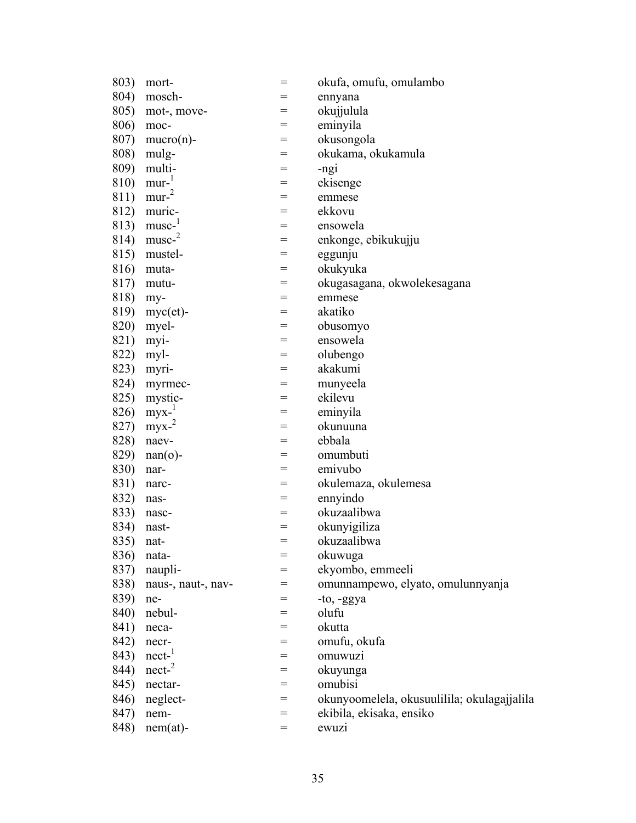| 803) | mort-               | $=$ | okufa, omufu, omulambo                      |
|------|---------------------|-----|---------------------------------------------|
| 804) | mosch-              |     | ennyana                                     |
| 805) | mot-, move-         | $=$ | okujjulula                                  |
| 806) | moc-                | $=$ | eminyila                                    |
| 807) | $mucro(n)$ -        | $=$ | okusongola                                  |
| 808) | mulg-               | $=$ | okukama, okukamula                          |
| 809) | multi-              | $=$ | -ngi                                        |
| 810) | $mur-1$             | $=$ | ekisenge                                    |
| 811) | mur <sup>2</sup>    | =   | emmese                                      |
| 812) | muric-              | $=$ | ekkovu                                      |
| 813) | $musc-1$            | $=$ | ensowela                                    |
| 814) | musc <sup>2</sup>   | =   | enkonge, ebikukujju                         |
| 815) | mustel-             | $=$ | eggunju                                     |
| 816) | muta-               | $=$ | okukyuka                                    |
| 817) | mutu-               | $=$ | okugasagana, okwolekesagana                 |
| 818) | my-                 | $=$ | emmese                                      |
| 819) | $myc (et)$ -        | $=$ | akatiko                                     |
| 820) | myel-               | $=$ | obusomyo                                    |
| 821) | myi-                | $=$ | ensowela                                    |
| 822) | myl-                | $=$ | olubengo                                    |
| 823) | myri-               | $=$ | akakumi                                     |
| 824) | myrmec-             | =   | munyeela                                    |
| 825) | mystic-             | $=$ | ekilevu                                     |
| 826) | $myx-1$             | $=$ | eminyila                                    |
| 827) | $myx-$ <sup>2</sup> | $=$ | okunuuna                                    |
| 828) | naev-               | $=$ | ebbala                                      |
| 829) | $nan(o)$ -          | $=$ | omumbuti                                    |
| 830) | nar-                | $=$ | emivubo                                     |
| 831) | narc-               | =   | okulemaza, okulemesa                        |
| 832) | nas-                | $=$ | ennyindo                                    |
| 833) | nasc-               | $=$ | okuzaalibwa                                 |
| 834) | nast-               | $=$ | okunyigiliza                                |
| 835) | nat-                | $=$ | okuzaalibwa                                 |
| 836) | nata-               | $=$ | okuwuga                                     |
| 837) | naupli-             | $=$ | ekyombo, emmeeli                            |
| 838) | naus-, naut-, nav-  | $=$ | omunnampewo, elyato, omulunnyanja           |
| 839) | ne-                 | $=$ | -to, -ggya                                  |
| 840) | nebul-              | $=$ | olufu                                       |
| 841) | neca-               | =   | okutta                                      |
| 842) | necr-               | $=$ | omufu, okufa                                |
| 843) | nect <sup>1</sup>   | $=$ | omuwuzi                                     |
| 844) | nect <sup>2</sup>   | $=$ | okuyunga                                    |
| 845) | nectar-             | $=$ | omubisi                                     |
| 846) | neglect-            | $=$ | okunyoomelela, okusuulilila; okulagajjalila |
| 847) | nem-                | $=$ | ekibila, ekisaka, ensiko                    |
| 848) | $nem(at)$ -         | $=$ | ewuzi                                       |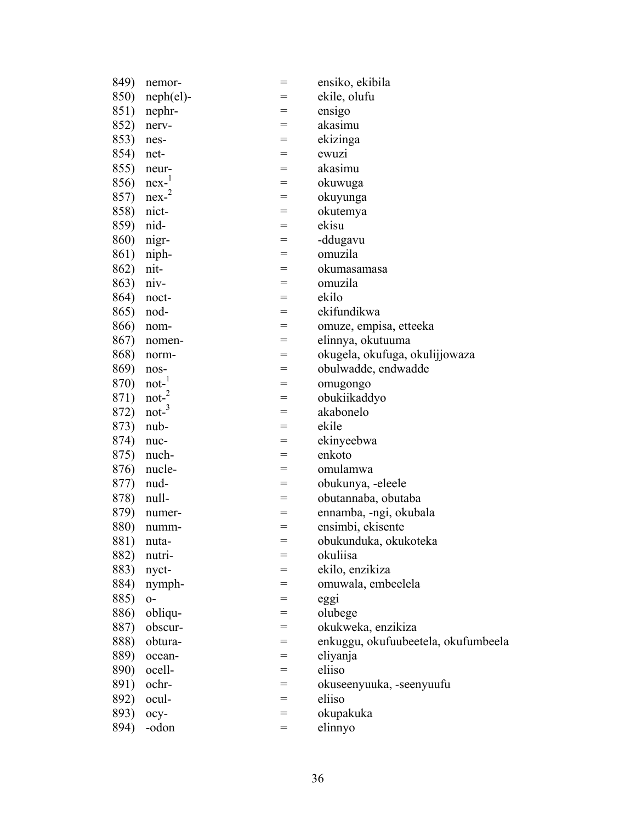| 849) | nemor-           | $=$ | ensiko, ekibila                     |
|------|------------------|-----|-------------------------------------|
| 850) | $neph (el)$ -    |     | ekile, olufu                        |
| 851) | nephr-           | $=$ | ensigo                              |
| 852) | nerv-            | $=$ | akasimu                             |
| 853) | nes-             | $=$ | ekizinga                            |
| 854) | net-             | $=$ | ewuzi                               |
| 855) | neur-            | $=$ | akasimu                             |
| 856) | $nex-1$          | =   | okuwuga                             |
| 857) | $nex^{-2}$       | $=$ | okuyunga                            |
| 858) | nict-            | $=$ | okutemya                            |
| 859) | nid-             | $=$ | ekisu                               |
| 860) | nigr-            | $=$ | -ddugavu                            |
| 861) | niph-            | $=$ | omuzila                             |
| 862) | nit-             | $=$ | okumasamasa                         |
| 863) | niv-             | $=$ | omuzila                             |
| 864) | noct-            | $=$ | ekilo                               |
| 865) | nod-             | $=$ | ekifundikwa                         |
| 866) | nom-             | $=$ | omuze, empisa, etteeka              |
| 867) | nomen-           | $=$ | elinnya, okutuuma                   |
| 868) | norm-            | $=$ | okugela, okufuga, okulijjowaza      |
| 869) | nos-             | $=$ | obulwadde, endwadde                 |
| 870) | $not-1$          | =   | omugongo                            |
| 871) | $\text{not-}^2$  | $=$ | obukiikaddyo                        |
| 872) | not <sup>3</sup> | $=$ | akabonelo                           |
| 873) | nub-             | $=$ | ekile                               |
| 874) | nuc-             | $=$ | ekinyeebwa                          |
| 875) | nuch-            | $=$ | enkoto                              |
| 876) | nucle-           | $=$ | omulamwa                            |
| 877) | nud-             | $=$ | obukunya, -eleele                   |
| 878) | null-            | $=$ | obutannaba, obutaba                 |
| 879) | numer-           | $=$ | ennamba, -ngi, okubala              |
| 880) | numm-            | $=$ | ensimbi, ekisente                   |
| 881) | nuta-            | $=$ | obukunduka, okukoteka               |
| 882) | nutri-           | $=$ | okuliisa                            |
| 883) | nyct-            | $=$ | ekilo, enzikiza                     |
| 884) | nymph-           | $=$ | omuwala, embeelela                  |
| 885) | $0-$             | $=$ | eggi                                |
| 886) | obliqu-          | $=$ | olubege                             |
| 887) | obscur-          | $=$ | okukweka, enzikiza                  |
| 888) | obtura-          | $=$ | enkuggu, okufuubeetela, okufumbeela |
| 889) | ocean-           | $=$ | eliyanja                            |
| 890) | ocell-           | $=$ | eliiso                              |
| 891) | ochr-            | $=$ | okuseenyuuka, -seenyuufu            |
| 892) | ocul-            | $=$ | eliiso                              |
| 893) | ocy-             | $=$ | okupakuka                           |
| 894) | -odon            | $=$ | elinnyo                             |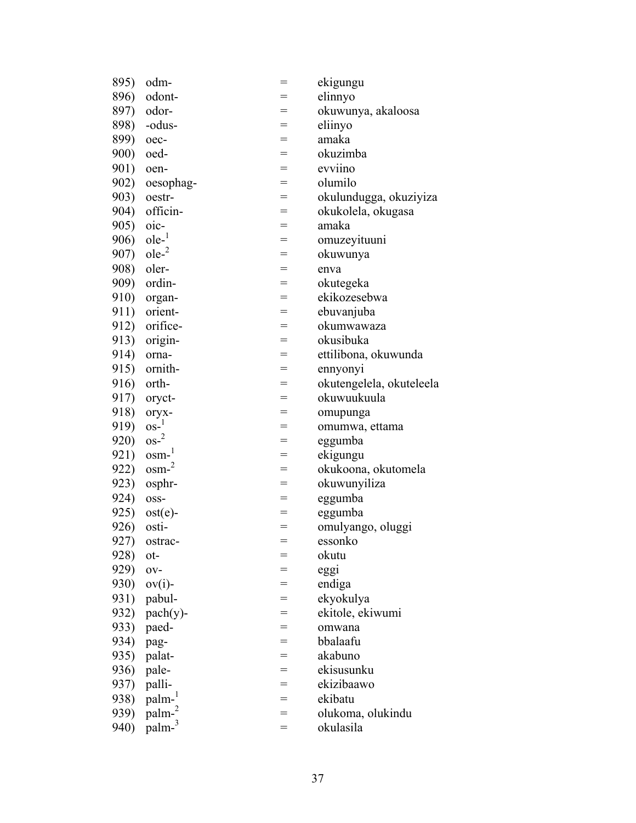| 895)        | odm-               | $=$ | ekigungu                 |
|-------------|--------------------|-----|--------------------------|
| 896)        | odont-             | $=$ | elinnyo                  |
| 897)        | odor-              | $=$ | okuwunya, akaloosa       |
| 898)        | -odus-             | $=$ | eliinyo                  |
| 899)        | oec-               | $=$ | amaka                    |
| 900)        | oed-               | $=$ | okuzimba                 |
| 901)        | oen-               | $=$ | evviino                  |
| 902)        | oesophag-          | $=$ | olumilo                  |
| 903)        | oestr-             | $=$ | okulundugga, okuziyiza   |
| 904)        | officin-           | $=$ | okukolela, okugasa       |
| 905)        | $oic-$             | $=$ | amaka                    |
| 906)        | $ole-1$            | $=$ | omuzeyituuni             |
| 907)        | ole <sup>2</sup>   | $=$ | okuwunya                 |
| 908)        | oler-              | $=$ | enva                     |
| 909)        | ordin-             | $=$ | okutegeka                |
| 910)        | organ-             | $=$ | ekikozesebwa             |
| 911)        | orient-            | $=$ | ebuvanjuba               |
| 912)        | orifice-           | $=$ | okumwawaza               |
| 913)        | origin-            | $=$ | okusibuka                |
| 914)        | orna-              | $=$ | ettilibona, okuwunda     |
| 915)        | ornith-            | $=$ | ennyonyi                 |
| 916)        | orth-              | $=$ | okutengelela, okuteleela |
| 917)        | oryct-             | $=$ | okuwuukuula              |
| 918)        | oryx-              | $=$ | omupunga                 |
| 919)        | $OS-1$             | $=$ | omumwa, ettama           |
| 920)        | $\cos^{-2}$        | $=$ | eggumba                  |
| 921)        | $osm-1$            | $=$ | ekigungu                 |
| 922)        | $osm-2$            | $=$ | okukoona, okutomela      |
| 923)        | osphr-             | $=$ | okuwunyiliza             |
| 924)        | OSS-               | $=$ | eggumba                  |
| 925)        | $ost(e)$ -         | $=$ | eggumba                  |
| 926)        | osti-              | $=$ | omulyango, oluggi        |
| 927)        | ostrac-            | $=$ | essonko                  |
| 928)        | ot-                |     | okutu                    |
| 929)        | O <sub>V</sub>     |     | eggi                     |
| <b>930)</b> | $ov(i)$ -          | $=$ | endiga                   |
| 931)        | pabul-             | $=$ | ekyokulya                |
| 932)        | $\text{pach}(y)$ - | $=$ | ekitole, ekiwumi         |
| 933)        | paed-              | $=$ | omwana                   |
| 934)        | pag-               | $=$ | bbalaafu                 |
| 935)        | palat-             | $=$ | akabuno                  |
| 936)        | pale-              | $=$ | ekisusunku               |
| 937)        | palli-             | $=$ | ekizibaawo               |
| 938)        | palm- <sup>1</sup> | $=$ | ekibatu                  |
| 939)        | palm-2             | $=$ | olukoma, olukindu        |
| 940)        | palm-3             | $=$ | okulasila                |
|             |                    |     |                          |